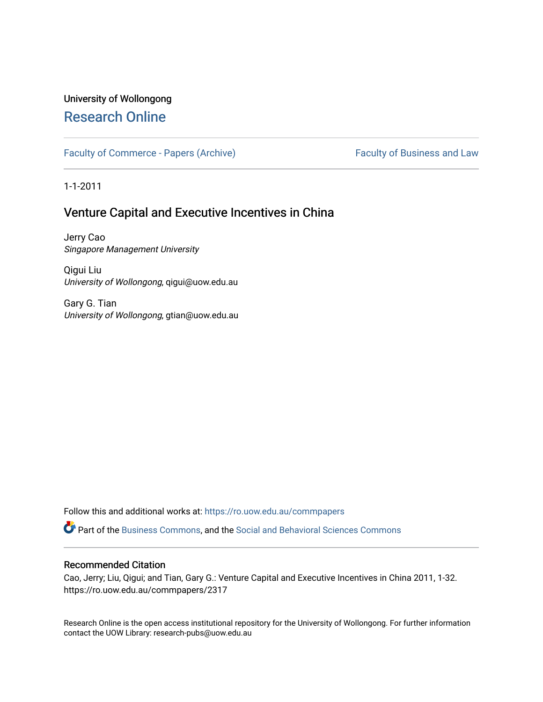# University of Wollongong [Research Online](https://ro.uow.edu.au/)

[Faculty of Commerce - Papers \(Archive\)](https://ro.uow.edu.au/commpapers) Faculty of Business and Law

1-1-2011

# Venture Capital and Executive Incentives in China

Jerry Cao Singapore Management University

Qigui Liu University of Wollongong, qigui@uow.edu.au

Gary G. Tian University of Wollongong, gtian@uow.edu.au

Follow this and additional works at: [https://ro.uow.edu.au/commpapers](https://ro.uow.edu.au/commpapers?utm_source=ro.uow.edu.au%2Fcommpapers%2F2317&utm_medium=PDF&utm_campaign=PDFCoverPages) 

Part of the [Business Commons](http://network.bepress.com/hgg/discipline/622?utm_source=ro.uow.edu.au%2Fcommpapers%2F2317&utm_medium=PDF&utm_campaign=PDFCoverPages), and the [Social and Behavioral Sciences Commons](http://network.bepress.com/hgg/discipline/316?utm_source=ro.uow.edu.au%2Fcommpapers%2F2317&utm_medium=PDF&utm_campaign=PDFCoverPages) 

#### Recommended Citation

Cao, Jerry; Liu, Qigui; and Tian, Gary G.: Venture Capital and Executive Incentives in China 2011, 1-32. https://ro.uow.edu.au/commpapers/2317

Research Online is the open access institutional repository for the University of Wollongong. For further information contact the UOW Library: research-pubs@uow.edu.au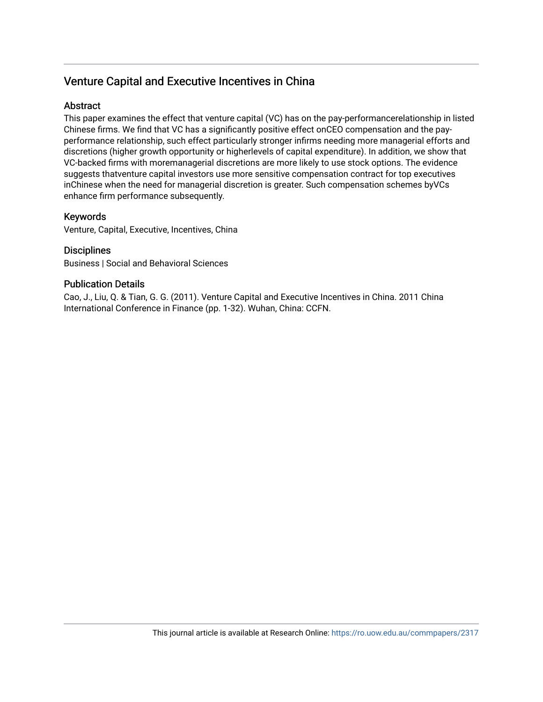# Venture Capital and Executive Incentives in China

# **Abstract**

This paper examines the effect that venture capital (VC) has on the pay-performancerelationship in listed Chinese firms. We find that VC has a significantly positive effect onCEO compensation and the payperformance relationship, such effect particularly stronger infirms needing more managerial efforts and discretions (higher growth opportunity or higherlevels of capital expenditure). In addition, we show that VC-backed firms with moremanagerial discretions are more likely to use stock options. The evidence suggests thatventure capital investors use more sensitive compensation contract for top executives inChinese when the need for managerial discretion is greater. Such compensation schemes byVCs enhance firm performance subsequently.

# Keywords

Venture, Capital, Executive, Incentives, China

# **Disciplines**

Business | Social and Behavioral Sciences

# Publication Details

Cao, J., Liu, Q. & Tian, G. G. (2011). Venture Capital and Executive Incentives in China. 2011 China International Conference in Finance (pp. 1-32). Wuhan, China: CCFN.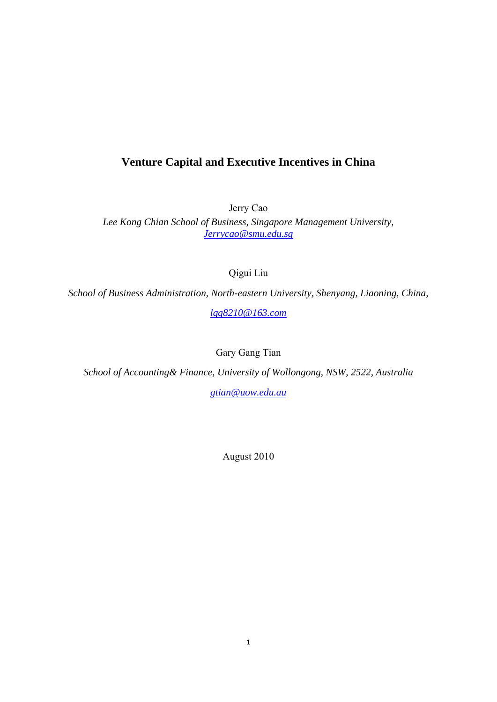# **Venture Capital and Executive Incentives in China**

Jerry Cao

*Lee Kong Chian School of Business, Singapore Management University, Jerrycao@smu.edu.sg*

Qigui Liu

*School of Business Administration, North-eastern University, Shenyang, Liaoning, China,* 

*lqg8210@163.com*

Gary Gang Tian

*School of Accounting& Finance, University of Wollongong, NSW, 2522, Australia* 

*gtian@uow.edu.au*

August 2010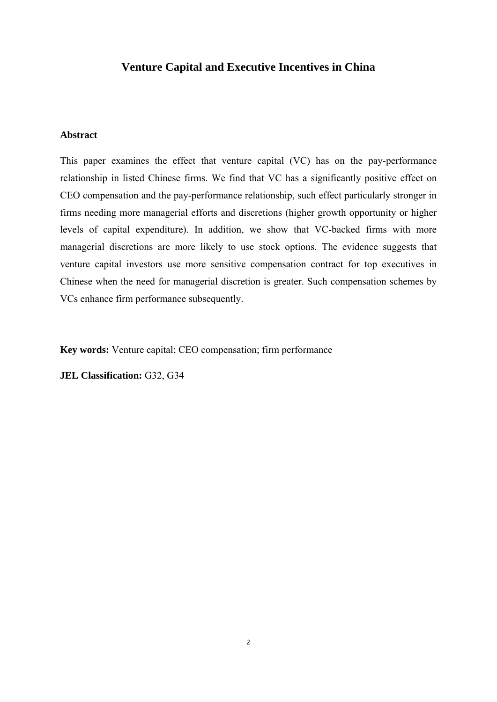# **Venture Capital and Executive Incentives in China**

## **Abstract**

This paper examines the effect that venture capital (VC) has on the pay-performance relationship in listed Chinese firms. We find that VC has a significantly positive effect on CEO compensation and the pay-performance relationship, such effect particularly stronger in firms needing more managerial efforts and discretions (higher growth opportunity or higher levels of capital expenditure). In addition, we show that VC-backed firms with more managerial discretions are more likely to use stock options. The evidence suggests that venture capital investors use more sensitive compensation contract for top executives in Chinese when the need for managerial discretion is greater. Such compensation schemes by VCs enhance firm performance subsequently.

**Key words:** Venture capital; CEO compensation; firm performance

**JEL Classification:** G32, G34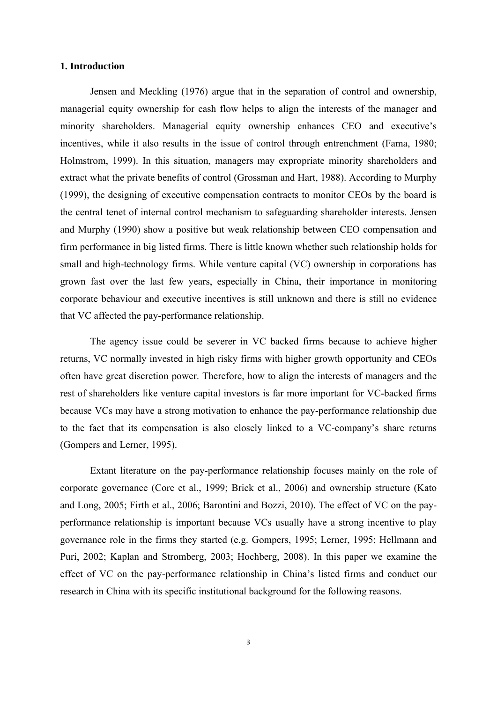## **1. Introduction**

 Jensen and Meckling (1976) argue that in the separation of control and ownership, managerial equity ownership for cash flow helps to align the interests of the manager and minority shareholders. Managerial equity ownership enhances CEO and executive's incentives, while it also results in the issue of control through entrenchment (Fama, 1980; Holmstrom, 1999). In this situation, managers may expropriate minority shareholders and extract what the private benefits of control (Grossman and Hart, 1988). According to Murphy (1999), the designing of executive compensation contracts to monitor CEOs by the board is the central tenet of internal control mechanism to safeguarding shareholder interests. Jensen and Murphy (1990) show a positive but weak relationship between CEO compensation and firm performance in big listed firms. There is little known whether such relationship holds for small and high-technology firms. While venture capital (VC) ownership in corporations has grown fast over the last few years, especially in China, their importance in monitoring corporate behaviour and executive incentives is still unknown and there is still no evidence that VC affected the pay-performance relationship.

 The agency issue could be severer in VC backed firms because to achieve higher returns, VC normally invested in high risky firms with higher growth opportunity and CEOs often have great discretion power. Therefore, how to align the interests of managers and the rest of shareholders like venture capital investors is far more important for VC-backed firms because VCs may have a strong motivation to enhance the pay-performance relationship due to the fact that its compensation is also closely linked to a VC-company's share returns (Gompers and Lerner, 1995).

 Extant literature on the pay-performance relationship focuses mainly on the role of corporate governance (Core et al., 1999; Brick et al., 2006) and ownership structure (Kato and Long, 2005; Firth et al., 2006; Barontini and Bozzi, 2010). The effect of VC on the payperformance relationship is important because VCs usually have a strong incentive to play governance role in the firms they started (e.g. Gompers, 1995; Lerner, 1995; Hellmann and Puri, 2002; Kaplan and Stromberg, 2003; Hochberg, 2008). In this paper we examine the effect of VC on the pay-performance relationship in China's listed firms and conduct our research in China with its specific institutional background for the following reasons.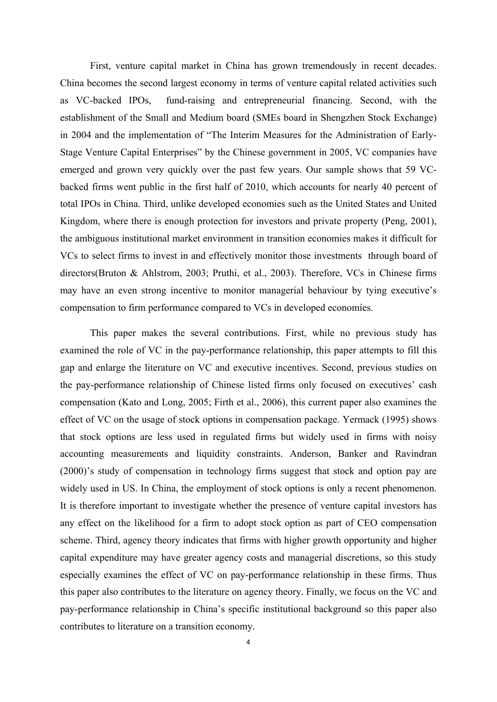First, venture capital market in China has grown tremendously in recent decades. China becomes the second largest economy in terms of venture capital related activities such as VC-backed IPOs, fund-raising and entrepreneurial financing. Second, with the establishment of the Small and Medium board (SMEs board in Shengzhen Stock Exchange) in 2004 and the implementation of "The Interim Measures for the Administration of Early-Stage Venture Capital Enterprises" by the Chinese government in 2005, VC companies have emerged and grown very quickly over the past few years. Our sample shows that 59 VCbacked firms went public in the first half of 2010, which accounts for nearly 40 percent of total IPOs in China. Third, unlike developed economies such as the United States and United Kingdom, where there is enough protection for investors and private property (Peng, 2001), the ambiguous institutional market environment in transition economies makes it difficult for VCs to select firms to invest in and effectively monitor those investments through board of directors(Bruton & Ahlstrom, 2003; Pruthi, et al., 2003). Therefore, VCs in Chinese firms may have an even strong incentive to monitor managerial behaviour by tying executive's compensation to firm performance compared to VCs in developed economies.

 This paper makes the several contributions. First, while no previous study has examined the role of VC in the pay-performance relationship, this paper attempts to fill this gap and enlarge the literature on VC and executive incentives. Second, previous studies on the pay-performance relationship of Chinese listed firms only focused on executives' cash compensation (Kato and Long, 2005; Firth et al., 2006), this current paper also examines the effect of VC on the usage of stock options in compensation package. Yermack (1995) shows that stock options are less used in regulated firms but widely used in firms with noisy accounting measurements and liquidity constraints. Anderson, Banker and Ravindran (2000)'s study of compensation in technology firms suggest that stock and option pay are widely used in US. In China, the employment of stock options is only a recent phenomenon. It is therefore important to investigate whether the presence of venture capital investors has any effect on the likelihood for a firm to adopt stock option as part of CEO compensation scheme. Third, agency theory indicates that firms with higher growth opportunity and higher capital expenditure may have greater agency costs and managerial discretions, so this study especially examines the effect of VC on pay-performance relationship in these firms. Thus this paper also contributes to the literature on agency theory. Finally, we focus on the VC and pay-performance relationship in China's specific institutional background so this paper also contributes to literature on a transition economy.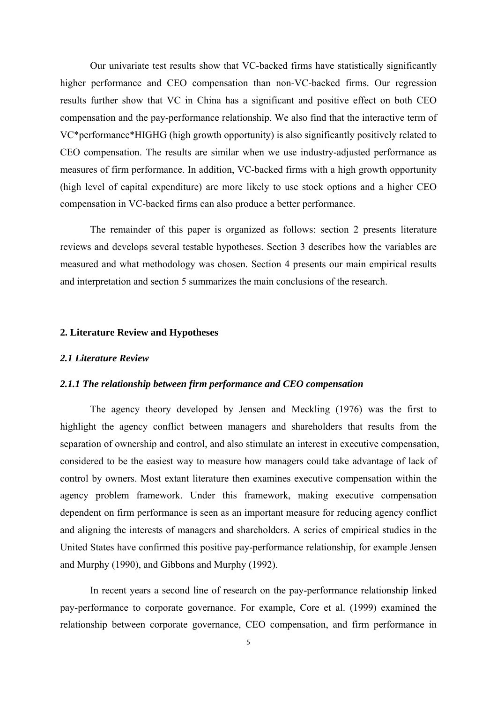Our univariate test results show that VC-backed firms have statistically significantly higher performance and CEO compensation than non-VC-backed firms. Our regression results further show that VC in China has a significant and positive effect on both CEO compensation and the pay-performance relationship. We also find that the interactive term of VC\*performance\*HIGHG (high growth opportunity) is also significantly positively related to CEO compensation. The results are similar when we use industry-adjusted performance as measures of firm performance. In addition, VC-backed firms with a high growth opportunity (high level of capital expenditure) are more likely to use stock options and a higher CEO compensation in VC-backed firms can also produce a better performance.

The remainder of this paper is organized as follows: section 2 presents literature reviews and develops several testable hypotheses. Section 3 describes how the variables are measured and what methodology was chosen. Section 4 presents our main empirical results and interpretation and section 5 summarizes the main conclusions of the research.

#### **2. Literature Review and Hypotheses**

#### *2.1 Literature Review*

#### *2.1.1 The relationship between firm performance and CEO compensation*

 The agency theory developed by Jensen and Meckling (1976) was the first to highlight the agency conflict between managers and shareholders that results from the separation of ownership and control, and also stimulate an interest in executive compensation, considered to be the easiest way to measure how managers could take advantage of lack of control by owners. Most extant literature then examines executive compensation within the agency problem framework. Under this framework, making executive compensation dependent on firm performance is seen as an important measure for reducing agency conflict and aligning the interests of managers and shareholders. A series of empirical studies in the United States have confirmed this positive pay-performance relationship, for example Jensen and Murphy (1990), and Gibbons and Murphy (1992).

 In recent years a second line of research on the pay-performance relationship linked pay-performance to corporate governance. For example, Core et al. (1999) examined the relationship between corporate governance, CEO compensation, and firm performance in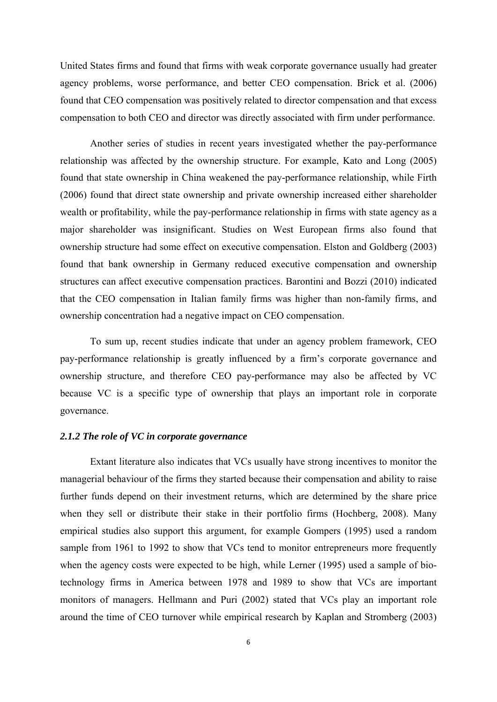United States firms and found that firms with weak corporate governance usually had greater agency problems, worse performance, and better CEO compensation. Brick et al. (2006) found that CEO compensation was positively related to director compensation and that excess compensation to both CEO and director was directly associated with firm under performance.

 Another series of studies in recent years investigated whether the pay-performance relationship was affected by the ownership structure. For example, Kato and Long (2005) found that state ownership in China weakened the pay-performance relationship, while Firth (2006) found that direct state ownership and private ownership increased either shareholder wealth or profitability, while the pay-performance relationship in firms with state agency as a major shareholder was insignificant. Studies on West European firms also found that ownership structure had some effect on executive compensation. Elston and Goldberg (2003) found that bank ownership in Germany reduced executive compensation and ownership structures can affect executive compensation practices. Barontini and Bozzi (2010) indicated that the CEO compensation in Italian family firms was higher than non-family firms, and ownership concentration had a negative impact on CEO compensation.

 To sum up, recent studies indicate that under an agency problem framework, CEO pay-performance relationship is greatly influenced by a firm's corporate governance and ownership structure, and therefore CEO pay-performance may also be affected by VC because VC is a specific type of ownership that plays an important role in corporate governance.

# *2.1.2 The role of VC in corporate governance*

 Extant literature also indicates that VCs usually have strong incentives to monitor the managerial behaviour of the firms they started because their compensation and ability to raise further funds depend on their investment returns, which are determined by the share price when they sell or distribute their stake in their portfolio firms (Hochberg, 2008). Many empirical studies also support this argument, for example Gompers (1995) used a random sample from 1961 to 1992 to show that VCs tend to monitor entrepreneurs more frequently when the agency costs were expected to be high, while Lerner (1995) used a sample of biotechnology firms in America between 1978 and 1989 to show that VCs are important monitors of managers. Hellmann and Puri (2002) stated that VCs play an important role around the time of CEO turnover while empirical research by Kaplan and Stromberg (2003)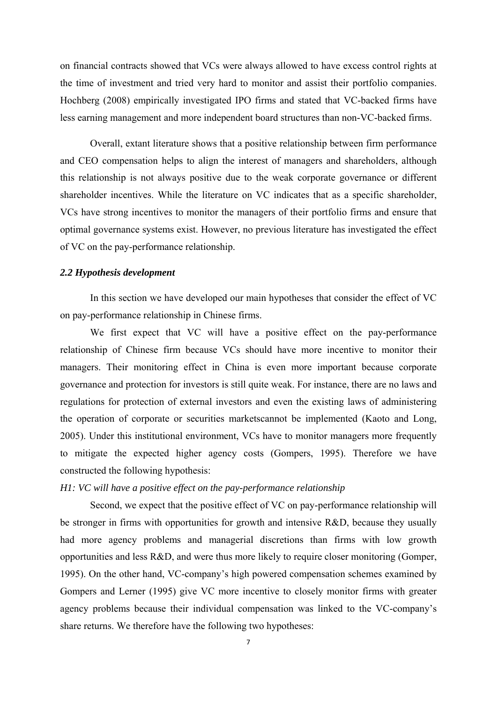on financial contracts showed that VCs were always allowed to have excess control rights at the time of investment and tried very hard to monitor and assist their portfolio companies. Hochberg (2008) empirically investigated IPO firms and stated that VC-backed firms have less earning management and more independent board structures than non-VC-backed firms.

 Overall, extant literature shows that a positive relationship between firm performance and CEO compensation helps to align the interest of managers and shareholders, although this relationship is not always positive due to the weak corporate governance or different shareholder incentives. While the literature on VC indicates that as a specific shareholder, VCs have strong incentives to monitor the managers of their portfolio firms and ensure that optimal governance systems exist. However, no previous literature has investigated the effect of VC on the pay-performance relationship.

## *2.2 Hypothesis development*

 In this section we have developed our main hypotheses that consider the effect of VC on pay-performance relationship in Chinese firms.

We first expect that VC will have a positive effect on the pay-performance relationship of Chinese firm because VCs should have more incentive to monitor their managers. Their monitoring effect in China is even more important because corporate governance and protection for investors is still quite weak. For instance, there are no laws and regulations for protection of external investors and even the existing laws of administering the operation of corporate or securities marketscannot be implemented (Kaoto and Long, 2005). Under this institutional environment, VCs have to monitor managers more frequently to mitigate the expected higher agency costs (Gompers, 1995). Therefore we have constructed the following hypothesis:

### *H1: VC will have a positive effect on the pay-performance relationship*

 Second, we expect that the positive effect of VC on pay-performance relationship will be stronger in firms with opportunities for growth and intensive R&D, because they usually had more agency problems and managerial discretions than firms with low growth opportunities and less R&D, and were thus more likely to require closer monitoring (Gomper, 1995). On the other hand, VC-company's high powered compensation schemes examined by Gompers and Lerner (1995) give VC more incentive to closely monitor firms with greater agency problems because their individual compensation was linked to the VC-company's share returns. We therefore have the following two hypotheses: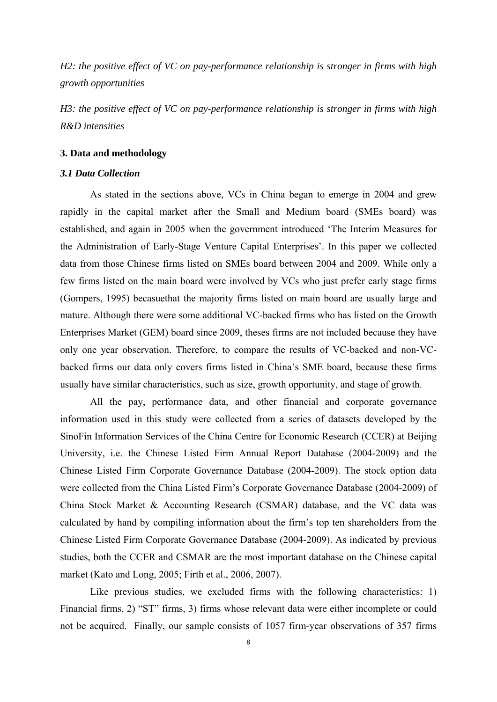*H2: the positive effect of VC on pay-performance relationship is stronger in firms with high growth opportunities* 

*H3: the positive effect of VC on pay-performance relationship is stronger in firms with high R&D intensities* 

#### **3. Data and methodology**

## *3.1 Data Collection*

 As stated in the sections above, VCs in China began to emerge in 2004 and grew rapidly in the capital market after the Small and Medium board (SMEs board) was established, and again in 2005 when the government introduced 'The Interim Measures for the Administration of Early-Stage Venture Capital Enterprises'. In this paper we collected data from those Chinese firms listed on SMEs board between 2004 and 2009. While only a few firms listed on the main board were involved by VCs who just prefer early stage firms (Gompers, 1995) becasuethat the majority firms listed on main board are usually large and mature. Although there were some additional VC-backed firms who has listed on the Growth Enterprises Market (GEM) board since 2009, theses firms are not included because they have only one year observation. Therefore, to compare the results of VC-backed and non-VCbacked firms our data only covers firms listed in China's SME board, because these firms usually have similar characteristics, such as size, growth opportunity, and stage of growth.

 All the pay, performance data, and other financial and corporate governance information used in this study were collected from a series of datasets developed by the SinoFin Information Services of the China Centre for Economic Research (CCER) at Beijing University, i.e. the Chinese Listed Firm Annual Report Database (2004-2009) and the Chinese Listed Firm Corporate Governance Database (2004-2009). The stock option data were collected from the China Listed Firm's Corporate Governance Database (2004-2009) of China Stock Market & Accounting Research (CSMAR) database, and the VC data was calculated by hand by compiling information about the firm's top ten shareholders from the Chinese Listed Firm Corporate Governance Database (2004-2009). As indicated by previous studies, both the CCER and CSMAR are the most important database on the Chinese capital market (Kato and Long, 2005; Firth et al., 2006, 2007).

Like previous studies, we excluded firms with the following characteristics: 1) Financial firms, 2) "ST" firms, 3) firms whose relevant data were either incomplete or could not be acquired. Finally, our sample consists of 1057 firm-year observations of 357 firms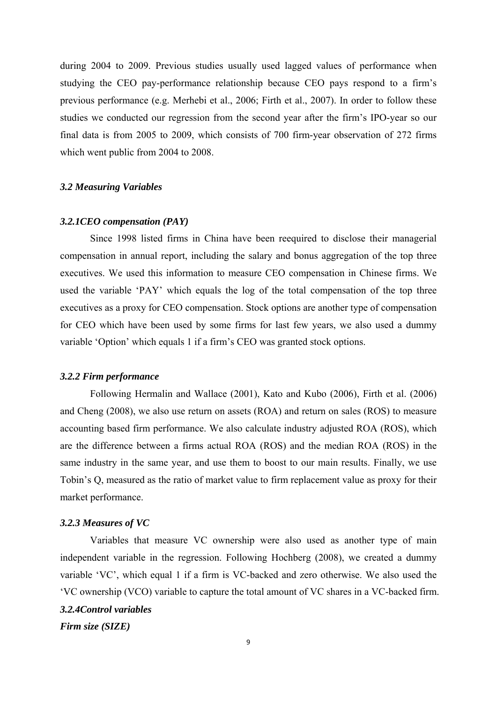during 2004 to 2009. Previous studies usually used lagged values of performance when studying the CEO pay-performance relationship because CEO pays respond to a firm's previous performance (e.g. Merhebi et al., 2006; Firth et al., 2007). In order to follow these studies we conducted our regression from the second year after the firm's IPO-year so our final data is from 2005 to 2009, which consists of 700 firm-year observation of 272 firms which went public from 2004 to 2008.

### *3.2 Measuring Variables*

### *3.2.1CEO compensation (PAY)*

 Since 1998 listed firms in China have been reequired to disclose their managerial compensation in annual report, including the salary and bonus aggregation of the top three executives. We used this information to measure CEO compensation in Chinese firms. We used the variable 'PAY' which equals the log of the total compensation of the top three executives as a proxy for CEO compensation. Stock options are another type of compensation for CEO which have been used by some firms for last few years, we also used a dummy variable 'Option' which equals 1 if a firm's CEO was granted stock options.

#### *3.2.2 Firm performance*

 Following Hermalin and Wallace (2001), Kato and Kubo (2006), Firth et al. (2006) and Cheng (2008), we also use return on assets (ROA) and return on sales (ROS) to measure accounting based firm performance. We also calculate industry adjusted ROA (ROS), which are the difference between a firms actual ROA (ROS) and the median ROA (ROS) in the same industry in the same year, and use them to boost to our main results. Finally, we use Tobin's Q, measured as the ratio of market value to firm replacement value as proxy for their market performance.

#### *3.2.3 Measures of VC*

 Variables that measure VC ownership were also used as another type of main independent variable in the regression. Following Hochberg (2008), we created a dummy variable 'VC', which equal 1 if a firm is VC-backed and zero otherwise. We also used the 'VC ownership (VCO) variable to capture the total amount of VC shares in a VC-backed firm. *3.2.4Control variables* 

*Firm size (SIZE)*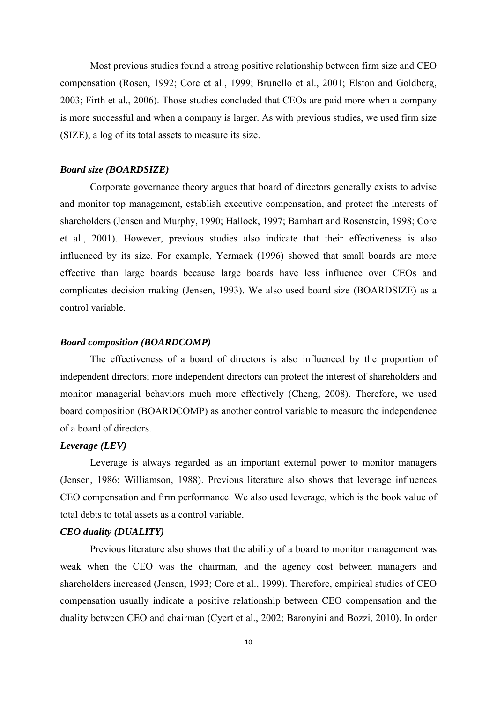Most previous studies found a strong positive relationship between firm size and CEO compensation (Rosen, 1992; Core et al., 1999; Brunello et al., 2001; Elston and Goldberg, 2003; Firth et al., 2006). Those studies concluded that CEOs are paid more when a company is more successful and when a company is larger. As with previous studies, we used firm size (SIZE), a log of its total assets to measure its size.

# *Board size (BOARDSIZE)*

 Corporate governance theory argues that board of directors generally exists to advise and monitor top management, establish executive compensation, and protect the interests of shareholders (Jensen and Murphy, 1990; Hallock, 1997; Barnhart and Rosenstein, 1998; Core et al., 2001). However, previous studies also indicate that their effectiveness is also influenced by its size. For example, Yermack (1996) showed that small boards are more effective than large boards because large boards have less influence over CEOs and complicates decision making (Jensen, 1993). We also used board size (BOARDSIZE) as a control variable.

# *Board composition (BOARDCOMP)*

 The effectiveness of a board of directors is also influenced by the proportion of independent directors; more independent directors can protect the interest of shareholders and monitor managerial behaviors much more effectively (Cheng, 2008). Therefore, we used board composition (BOARDCOMP) as another control variable to measure the independence of a board of directors.

### *Leverage (LEV)*

 Leverage is always regarded as an important external power to monitor managers (Jensen, 1986; Williamson, 1988). Previous literature also shows that leverage influences CEO compensation and firm performance. We also used leverage, which is the book value of total debts to total assets as a control variable.

## *CEO duality (DUALITY)*

 Previous literature also shows that the ability of a board to monitor management was weak when the CEO was the chairman, and the agency cost between managers and shareholders increased (Jensen, 1993; Core et al., 1999). Therefore, empirical studies of CEO compensation usually indicate a positive relationship between CEO compensation and the duality between CEO and chairman (Cyert et al., 2002; Baronyini and Bozzi, 2010). In order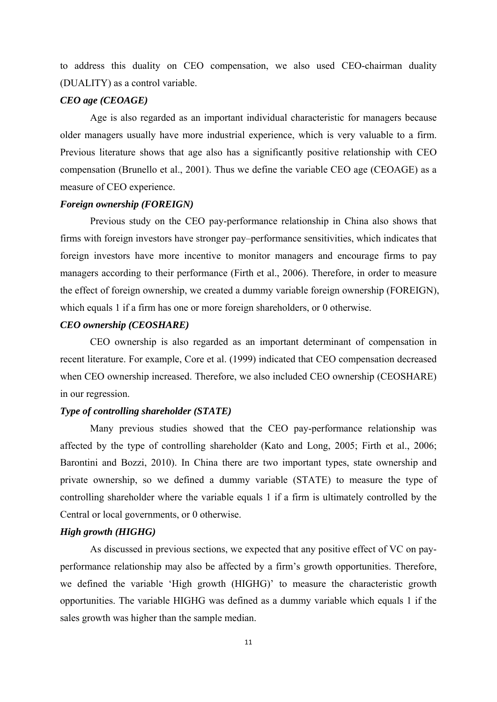to address this duality on CEO compensation, we also used CEO-chairman duality (DUALITY) as a control variable.

## *CEO age (CEOAGE)*

 Age is also regarded as an important individual characteristic for managers because older managers usually have more industrial experience, which is very valuable to a firm. Previous literature shows that age also has a significantly positive relationship with CEO compensation (Brunello et al., 2001). Thus we define the variable CEO age (CEOAGE) as a measure of CEO experience.

### *Foreign ownership (FOREIGN)*

 Previous study on the CEO pay-performance relationship in China also shows that firms with foreign investors have stronger pay–performance sensitivities, which indicates that foreign investors have more incentive to monitor managers and encourage firms to pay managers according to their performance (Firth et al., 2006). Therefore, in order to measure the effect of foreign ownership, we created a dummy variable foreign ownership (FOREIGN), which equals 1 if a firm has one or more foreign shareholders, or 0 otherwise.

# *CEO ownership (CEOSHARE)*

 CEO ownership is also regarded as an important determinant of compensation in recent literature. For example, Core et al. (1999) indicated that CEO compensation decreased when CEO ownership increased. Therefore, we also included CEO ownership (CEOSHARE) in our regression.

# *Type of controlling shareholder (STATE)*

 Many previous studies showed that the CEO pay-performance relationship was affected by the type of controlling shareholder (Kato and Long, 2005; Firth et al., 2006; Barontini and Bozzi, 2010). In China there are two important types, state ownership and private ownership, so we defined a dummy variable (STATE) to measure the type of controlling shareholder where the variable equals 1 if a firm is ultimately controlled by the Central or local governments, or 0 otherwise.

# *High growth (HIGHG)*

 As discussed in previous sections, we expected that any positive effect of VC on payperformance relationship may also be affected by a firm's growth opportunities. Therefore, we defined the variable 'High growth (HIGHG)' to measure the characteristic growth opportunities. The variable HIGHG was defined as a dummy variable which equals 1 if the sales growth was higher than the sample median.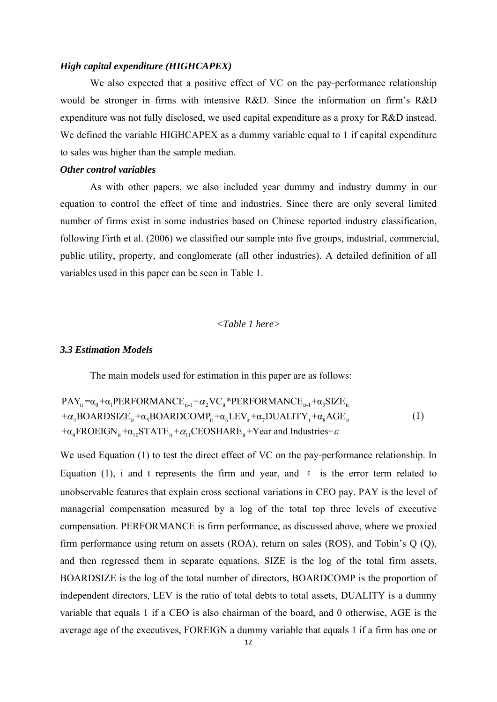#### *High capital expenditure (HIGHCAPEX)*

We also expected that a positive effect of VC on the pay-performance relationship would be stronger in firms with intensive R&D. Since the information on firm's R&D expenditure was not fully disclosed, we used capital expenditure as a proxy for R&D instead. We defined the variable HIGHCAPEX as a dummy variable equal to 1 if capital expenditure to sales was higher than the sample median.

# *Other control variables*

 As with other papers, we also included year dummy and industry dummy in our equation to control the effect of time and industries. Since there are only several limited number of firms exist in some industries based on Chinese reported industry classification, following Firth et al. (2006) we classified our sample into five groups, industrial, commercial, public utility, property, and conglomerate (all other industries). A detailed definition of all variables used in this paper can be seen in Table 1.

# *<Table 1 here>*

#### *3.3 Estimation Models*

The main models used for estimation in this paper are as follows:

 $\text{PAY}_{\text{it}} = \alpha_{0} + \alpha_{1} \text{PERFORMANCE}_{\text{it-1}} + \alpha_{2} \text{VC}_{\text{it}} * \text{PERFORMANCE}_{\text{it-1}} + \alpha_{3} \text{SIZE}_{\text{it}}$  $+ \alpha_4$ BOARDSIZE<sub>it</sub> + $\alpha_5$ BOARDCOMP<sub>it</sub> + $\alpha_6$ LEV<sub>it</sub> + $\alpha_7$ DUALITY<sub>it</sub> + $\alpha_8$ AGE<sub>it</sub>  $+\alpha_9$ FROEIGN<sub>it</sub>  $+\alpha_{10}$ STATE<sub>it</sub>  $+\alpha_{11}$ CEOSHARE<sub>it</sub> +Year and Industries+ $\varepsilon$ (1)

We used Equation (1) to test the direct effect of VC on the pay-performance relationship. In Equation (1), i and t represents the firm and year, and  $\epsilon$  is the error term related to unobservable features that explain cross sectional variations in CEO pay. PAY is the level of managerial compensation measured by a log of the total top three levels of executive compensation. PERFORMANCE is firm performance, as discussed above, where we proxied firm performance using return on assets (ROA), return on sales (ROS), and Tobin's Q (Q), and then regressed them in separate equations. SIZE is the log of the total firm assets, BOARDSIZE is the log of the total number of directors, BOARDCOMP is the proportion of independent directors, LEV is the ratio of total debts to total assets, DUALITY is a dummy variable that equals 1 if a CEO is also chairman of the board, and 0 otherwise, AGE is the average age of the executives, FOREIGN a dummy variable that equals 1 if a firm has one or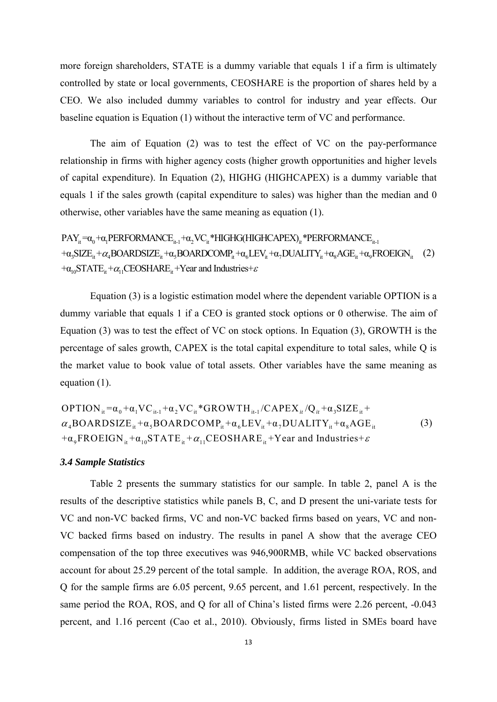more foreign shareholders, STATE is a dummy variable that equals 1 if a firm is ultimately controlled by state or local governments, CEOSHARE is the proportion of shares held by a CEO. We also included dummy variables to control for industry and year effects. Our baseline equation is Equation (1) without the interactive term of VC and performance.

 The aim of Equation (2) was to test the effect of VC on the pay-performance relationship in firms with higher agency costs (higher growth opportunities and higher levels of capital expenditure). In Equation (2), HIGHG (HIGHCAPEX) is a dummy variable that equals 1 if the sales growth (capital expenditure to sales) was higher than the median and 0 otherwise, other variables have the same meaning as equation (1).

 $PAY_{it} = \alpha_0 + \alpha_1 PERFORMANCE_{it-1} + \alpha_2 VC_{it} * HIGHG(HIGHCAPEX)_{it} * PERFORMANCE_{it-1}$  $+\alpha_3 \text{SIZE}_{it} + \alpha_4 \text{BOARDSIZE}_{it} + \alpha_5 \text{BOARDCOMP}_{it} + \alpha_6 \text{LEV}_{it} + \alpha_7 \text{DUALITY}_{it} + \alpha_8 \text{AGE}_{it} + \alpha_9 \text{FROEIGN}_{it}$  (2)  $+\alpha_{10}$ STATE<sub>it</sub>  $+\alpha_{11}$ CEOSHARE<sub>it</sub> +Year and Industries+ $\varepsilon$ 

 Equation (3) is a logistic estimation model where the dependent variable OPTION is a dummy variable that equals 1 if a CEO is granted stock options or 0 otherwise. The aim of Equation (3) was to test the effect of VC on stock options. In Equation (3), GROWTH is the percentage of sales growth, CAPEX is the total capital expenditure to total sales, while Q is the market value to book value of total assets. Other variables have the same meaning as equation (1).

 $\text{OPTION}_{it} = \alpha_0 + \alpha_1 \text{VC}_{it-1} + \alpha_2 \text{VC}_{it} * \text{GROWTH}_{it-1} / \text{CAPEX}_{it} / \text{Q}_{it} + \alpha_3 \text{SIZE}_{it} + \alpha_4 \text{S}$  $\alpha_4$ BOARDSIZE<sub>it</sub> + $\alpha_5$ BOARDCOMP<sub>it</sub> + $\alpha_6$ LEV<sub>it</sub> + $\alpha_7$ DUALITY<sub>it</sub> + $\alpha_8$ AGE<sub>it</sub>  $+\alpha_{9}$ FROEIGN<sub>it</sub>  $+\alpha_{10}$ STATE<sub>it</sub>  $+\alpha_{11}$ CEOSHARE<sub>it</sub> +Year and Industries +  $\varepsilon$ (3)

## *3.4 Sample Statistics*

 Table 2 presents the summary statistics for our sample. In table 2, panel A is the results of the descriptive statistics while panels B, C, and D present the uni-variate tests for VC and non-VC backed firms, VC and non-VC backed firms based on years, VC and non-VC backed firms based on industry. The results in panel A show that the average CEO compensation of the top three executives was 946,900RMB, while VC backed observations account for about 25.29 percent of the total sample. In addition, the average ROA, ROS, and Q for the sample firms are 6.05 percent, 9.65 percent, and 1.61 percent, respectively. In the same period the ROA, ROS, and Q for all of China's listed firms were 2.26 percent, -0.043 percent, and 1.16 percent (Cao et al., 2010). Obviously, firms listed in SMEs board have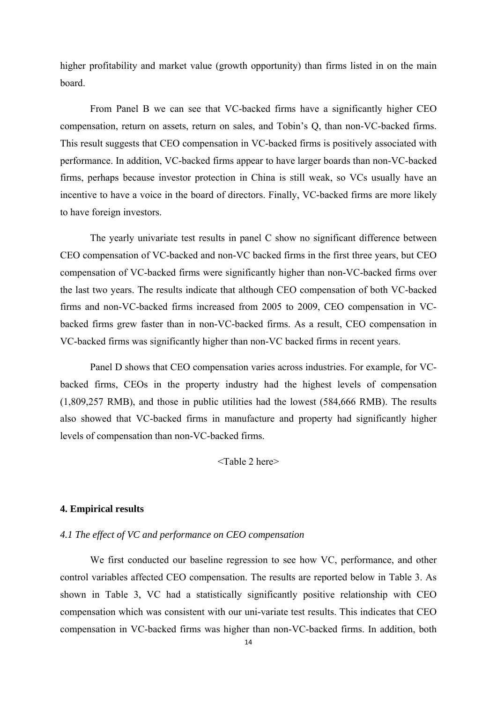higher profitability and market value (growth opportunity) than firms listed in on the main board.

 From Panel B we can see that VC-backed firms have a significantly higher CEO compensation, return on assets, return on sales, and Tobin's Q, than non-VC-backed firms. This result suggests that CEO compensation in VC-backed firms is positively associated with performance. In addition, VC-backed firms appear to have larger boards than non-VC-backed firms, perhaps because investor protection in China is still weak, so VCs usually have an incentive to have a voice in the board of directors. Finally, VC-backed firms are more likely to have foreign investors.

 The yearly univariate test results in panel C show no significant difference between CEO compensation of VC-backed and non-VC backed firms in the first three years, but CEO compensation of VC-backed firms were significantly higher than non-VC-backed firms over the last two years. The results indicate that although CEO compensation of both VC-backed firms and non-VC-backed firms increased from 2005 to 2009, CEO compensation in VCbacked firms grew faster than in non-VC-backed firms. As a result, CEO compensation in VC-backed firms was significantly higher than non-VC backed firms in recent years.

 Panel D shows that CEO compensation varies across industries. For example, for VCbacked firms, CEOs in the property industry had the highest levels of compensation (1,809,257 RMB), and those in public utilities had the lowest (584,666 RMB). The results also showed that VC-backed firms in manufacture and property had significantly higher levels of compensation than non-VC-backed firms.

<Table 2 here>

## **4. Empirical results**

### *4.1 The effect of VC and performance on CEO compensation*

 We first conducted our baseline regression to see how VC, performance, and other control variables affected CEO compensation. The results are reported below in Table 3. As shown in Table 3, VC had a statistically significantly positive relationship with CEO compensation which was consistent with our uni-variate test results. This indicates that CEO compensation in VC-backed firms was higher than non-VC-backed firms. In addition, both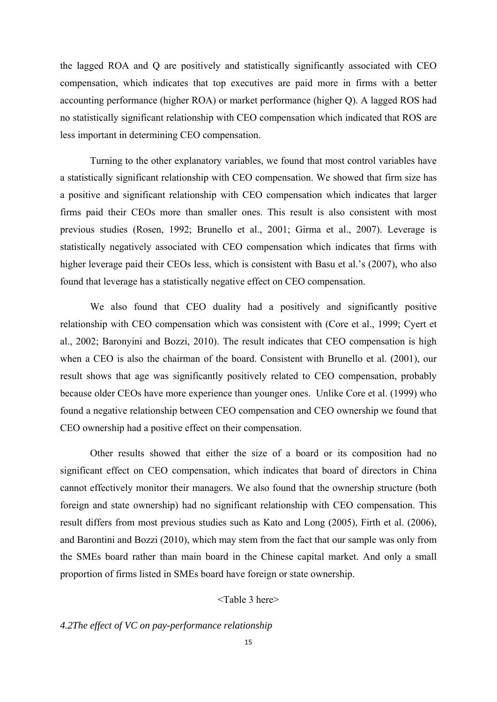the lagged ROA and Q are positively and statistically significantly associated with CEO compensation, which indicates that top executives are paid more in firms with a better accounting performance (higher ROA) or market performance (higher Q). A lagged ROS had no statistically significant relationship with CEO compensation which indicated that ROS are less important in determining CEO compensation.

 Turning to the other explanatory variables, we found that most control variables have a statistically significant relationship with CEO compensation. We showed that firm size has a positive and significant relationship with CEO compensation which indicates that larger firms paid their CEOs more than smaller ones. This result is also consistent with most previous studies (Rosen, 1992; Brunello et al., 2001; Girma et al., 2007). Leverage is statistically negatively associated with CEO compensation which indicates that firms with higher leverage paid their CEOs less, which is consistent with Basu et al.'s (2007), who also found that leverage has a statistically negative effect on CEO compensation.

We also found that CEO duality had a positively and significantly positive relationship with CEO compensation which was consistent with (Core et al., 1999; Cyert et al., 2002; Baronyini and Bozzi, 2010). The result indicates that CEO compensation is high when a CEO is also the chairman of the board. Consistent with Brunello et al. (2001), our result shows that age was significantly positively related to CEO compensation, probably because older CEOs have more experience than younger ones. Unlike Core et al. (1999) who found a negative relationship between CEO compensation and CEO ownership we found that CEO ownership had a positive effect on their compensation.

 Other results showed that either the size of a board or its composition had no significant effect on CEO compensation, which indicates that board of directors in China cannot effectively monitor their managers. We also found that the ownership structure (both foreign and state ownership) had no significant relationship with CEO compensation. This result differs from most previous studies such as Kato and Long (2005), Firth et al. (2006), and Barontini and Bozzi (2010), which may stem from the fact that our sample was only from the SMEs board rather than main board in the Chinese capital market. And only a small proportion of firms listed in SMEs board have foreign or state ownership.

<Table 3 here>

*4.2The effect of VC on pay-performance relationship*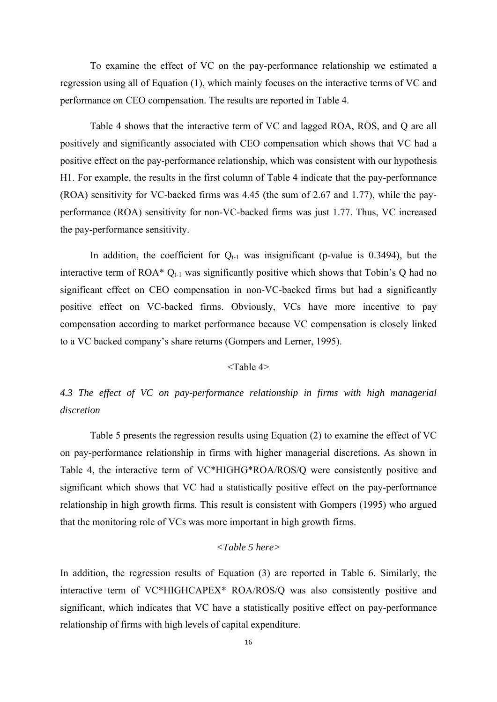To examine the effect of VC on the pay-performance relationship we estimated a regression using all of Equation (1), which mainly focuses on the interactive terms of VC and performance on CEO compensation. The results are reported in Table 4.

 Table 4 shows that the interactive term of VC and lagged ROA, ROS, and Q are all positively and significantly associated with CEO compensation which shows that VC had a positive effect on the pay-performance relationship, which was consistent with our hypothesis H1. For example, the results in the first column of Table 4 indicate that the pay-performance (ROA) sensitivity for VC-backed firms was 4.45 (the sum of 2.67 and 1.77), while the payperformance (ROA) sensitivity for non-VC-backed firms was just 1.77. Thus, VC increased the pay-performance sensitivity.

In addition, the coefficient for  $Q_{t-1}$  was insignificant (p-value is 0.3494), but the interactive term of ROA\*  $Q_{t-1}$  was significantly positive which shows that Tobin's Q had no significant effect on CEO compensation in non-VC-backed firms but had a significantly positive effect on VC-backed firms. Obviously, VCs have more incentive to pay compensation according to market performance because VC compensation is closely linked to a VC backed company's share returns (Gompers and Lerner, 1995).

## <Table 4>

# *4.3 The effect of VC on pay-performance relationship in firms with high managerial discretion*

 Table 5 presents the regression results using Equation (2) to examine the effect of VC on pay-performance relationship in firms with higher managerial discretions. As shown in Table 4, the interactive term of VC\*HIGHG\*ROA/ROS/Q were consistently positive and significant which shows that VC had a statistically positive effect on the pay-performance relationship in high growth firms. This result is consistent with Gompers (1995) who argued that the monitoring role of VCs was more important in high growth firms.

# *<Table 5 here>*

In addition, the regression results of Equation (3) are reported in Table 6. Similarly, the interactive term of VC\*HIGHCAPEX\* ROA/ROS/Q was also consistently positive and significant, which indicates that VC have a statistically positive effect on pay-performance relationship of firms with high levels of capital expenditure.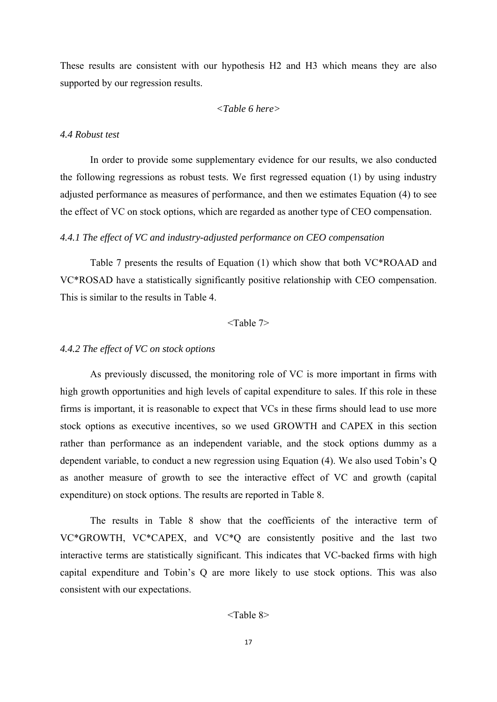These results are consistent with our hypothesis H2 and H3 which means they are also supported by our regression results.

# *<Table 6 here>*

# *4.4 Robust test*

 In order to provide some supplementary evidence for our results, we also conducted the following regressions as robust tests. We first regressed equation (1) by using industry adjusted performance as measures of performance, and then we estimates Equation (4) to see the effect of VC on stock options, which are regarded as another type of CEO compensation.

## *4.4.1 The effect of VC and industry-adjusted performance on CEO compensation*

 Table 7 presents the results of Equation (1) which show that both VC\*ROAAD and VC\*ROSAD have a statistically significantly positive relationship with CEO compensation. This is similar to the results in Table 4.

#### <Table 7>

#### *4.4.2 The effect of VC on stock options*

 As previously discussed, the monitoring role of VC is more important in firms with high growth opportunities and high levels of capital expenditure to sales. If this role in these firms is important, it is reasonable to expect that VCs in these firms should lead to use more stock options as executive incentives, so we used GROWTH and CAPEX in this section rather than performance as an independent variable, and the stock options dummy as a dependent variable, to conduct a new regression using Equation (4). We also used Tobin's Q as another measure of growth to see the interactive effect of VC and growth (capital expenditure) on stock options. The results are reported in Table 8.

 The results in Table 8 show that the coefficients of the interactive term of VC\*GROWTH, VC\*CAPEX, and VC\*Q are consistently positive and the last two interactive terms are statistically significant. This indicates that VC-backed firms with high capital expenditure and Tobin's Q are more likely to use stock options. This was also consistent with our expectations.

# <Table 8>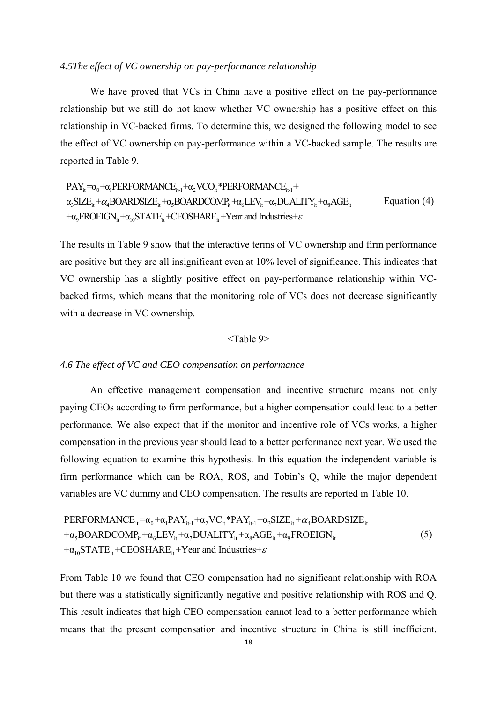#### *4.5The effect of VC ownership on pay-performance relationship*

 We have proved that VCs in China have a positive effect on the pay-performance relationship but we still do not know whether VC ownership has a positive effect on this relationship in VC-backed firms. To determine this, we designed the following model to see the effect of VC ownership on pay-performance within a VC-backed sample. The results are reported in Table 9.

$$
PAY_{it} = \alpha_0 + \alpha_1 PERTORMANCE_{it-1} + \alpha_2 VCO_{it} * PERFORMANCE_{it-1} + \alpha_3 SIZE_{it} + \alpha_4 BOARDSIZE_{it} + \alpha_5 BOARDZCE_{it} + \alpha_5 BOARDZOMP_{it} + \alpha_6 LEV_{it} + \alpha_7 DUALITY_{it} + \alpha_8 AGE_{it}
$$
 Equation (4)  
+
$$
+\alpha_9 FROEIGN_{it} + \alpha_{10} STATE_{it} + CEOSHARE_{it} + Year
$$
 and Industries+ $\varepsilon$ 

The results in Table 9 show that the interactive terms of VC ownership and firm performance are positive but they are all insignificant even at 10% level of significance. This indicates that VC ownership has a slightly positive effect on pay-performance relationship within VCbacked firms, which means that the monitoring role of VCs does not decrease significantly with a decrease in VC ownership.

#### <Table 9>

#### *4.6 The effect of VC and CEO compensation on performance*

 An effective management compensation and incentive structure means not only paying CEOs according to firm performance, but a higher compensation could lead to a better performance. We also expect that if the monitor and incentive role of VCs works, a higher compensation in the previous year should lead to a better performance next year. We used the following equation to examine this hypothesis. In this equation the independent variable is firm performance which can be ROA, ROS, and Tobin's Q, while the major dependent variables are VC dummy and CEO compensation. The results are reported in Table 10.

PERFORMANCE<sub>it</sub> = 
$$
\alpha_0 + \alpha_1 PAY_{it-1} + \alpha_2 VC_{it} * PAY_{it-1} + \alpha_3 SIZE_{it} + \alpha_4 BOARDSIZE_{it}
$$
  
+ $\alpha_5 BOARDCOMP_{it} + \alpha_6LEY_{it} + \alpha_7 DUALITY_{it} + \alpha_8AGE_{it} + \alpha_9 FROEIGN_{it}$   
+ $\alpha_{10} STATE_{it} + CEOSHARE_{it} + Year$  and Industries+ $\varepsilon$  (5)

From Table 10 we found that CEO compensation had no significant relationship with ROA but there was a statistically significantly negative and positive relationship with ROS and Q. This result indicates that high CEO compensation cannot lead to a better performance which means that the present compensation and incentive structure in China is still inefficient.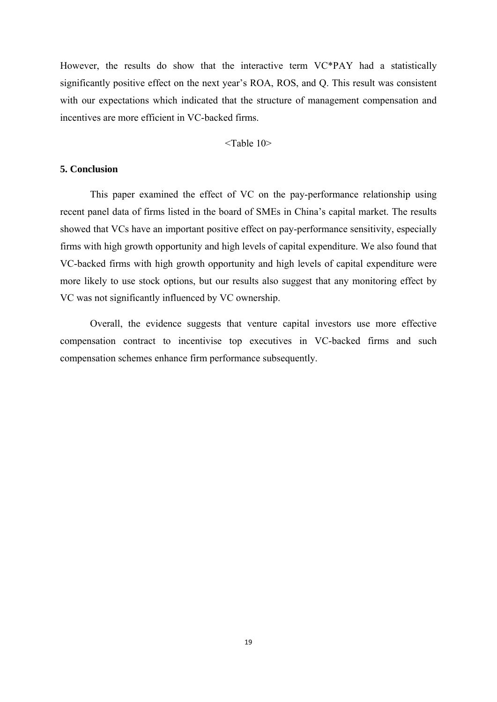However, the results do show that the interactive term VC\*PAY had a statistically significantly positive effect on the next year's ROA, ROS, and Q. This result was consistent with our expectations which indicated that the structure of management compensation and incentives are more efficient in VC-backed firms.

<Table 10>

# **5. Conclusion**

 This paper examined the effect of VC on the pay-performance relationship using recent panel data of firms listed in the board of SMEs in China's capital market. The results showed that VCs have an important positive effect on pay-performance sensitivity, especially firms with high growth opportunity and high levels of capital expenditure. We also found that VC-backed firms with high growth opportunity and high levels of capital expenditure were more likely to use stock options, but our results also suggest that any monitoring effect by VC was not significantly influenced by VC ownership.

 Overall, the evidence suggests that venture capital investors use more effective compensation contract to incentivise top executives in VC-backed firms and such compensation schemes enhance firm performance subsequently.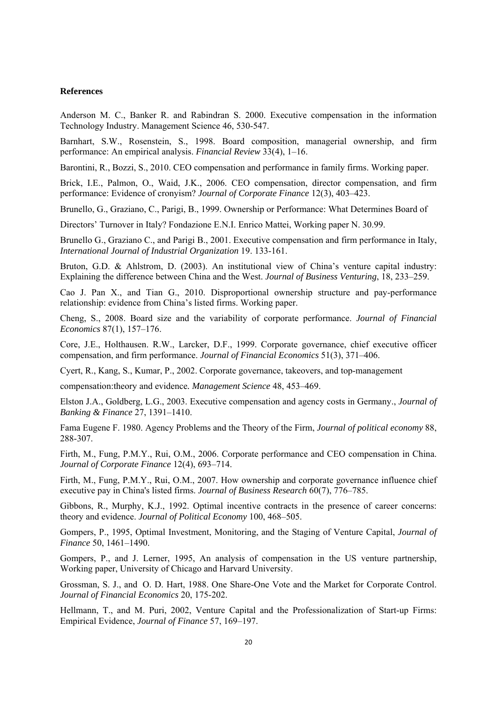#### **References**

Anderson M. C., Banker R. and Rabindran S. 2000. Executive compensation in the information Technology Industry. Management Science 46, 530-547.

Barnhart, S.W., Rosenstein, S., 1998. Board composition, managerial ownership, and firm performance: An empirical analysis. *Financial Review* 33(4), 1–16.

Barontini, R., Bozzi, S., 2010. CEO compensation and performance in family firms. Working paper.

Brick, I.E., Palmon, O., Waid, J.K., 2006. CEO compensation, director compensation, and firm performance: Evidence of cronyism? *Journal of Corporate Finance* 12(3), 403–423.

Brunello, G., Graziano, C., Parigi, B., 1999. Ownership or Performance: What Determines Board of

Directors' Turnover in Italy? Fondazione E.N.I. Enrico Mattei, Working paper N. 30.99.

Brunello G., Graziano C., and Parigi B., 2001. Executive compensation and firm performance in Italy, *International Journal of Industrial Organization* 19. 133-161.

Bruton, G.D. & Ahlstrom, D. (2003). An institutional view of China's venture capital industry: Explaining the difference between China and the West. *Journal of Business Venturing*, 18, 233–259.

Cao J. Pan X., and Tian G., 2010. Disproportional ownership structure and pay-performance relationship: evidence from China's listed firms. Working paper.

Cheng, S., 2008. Board size and the variability of corporate performance. *Journal of Financial Economics* 87(1), 157–176.

Core, J.E., Holthausen. R.W., Larcker, D.F., 1999. Corporate governance, chief executive officer compensation, and firm performance. *Journal of Financial Economics* 51(3), 371–406.

Cyert, R., Kang, S., Kumar, P., 2002. Corporate governance, takeovers, and top-management

compensation:theory and evidence*. Management Science* 48, 453–469.

Elston J.A., Goldberg, L.G., 2003. Executive compensation and agency costs in Germany., *Journal of Banking & Finance* 27, 1391–1410.

Fama Eugene F. 1980. Agency Problems and the Theory of the Firm, *Journal of political economy* 88, 288-307.

Firth, M., Fung, P.M.Y., Rui, O.M., 2006. Corporate performance and CEO compensation in China. *Journal of Corporate Finance* 12(4), 693–714.

Firth, M., Fung, P.M.Y., Rui, O.M., 2007. How ownership and corporate governance influence chief executive pay in China's listed firms. *Journal of Business Research* 60(7), 776–785.

Gibbons, R., Murphy, K.J., 1992. Optimal incentive contracts in the presence of career concerns: theory and evidence. *Journal of Political Economy* 100, 468–505.

Gompers, P., 1995, Optimal Investment, Monitoring, and the Staging of Venture Capital, *Journal of Finance* 50, 1461–1490.

Gompers, P., and J. Lerner, 1995, An analysis of compensation in the US venture partnership, Working paper, University of Chicago and Harvard University.

Grossman, S. J., and O. D. Hart, 1988. One Share-One Vote and the Market for Corporate Control. *Journal of Financial Economics* 20, 175-202.

Hellmann, T., and M. Puri, 2002, Venture Capital and the Professionalization of Start-up Firms: Empirical Evidence, *Journal of Finance* 57, 169–197.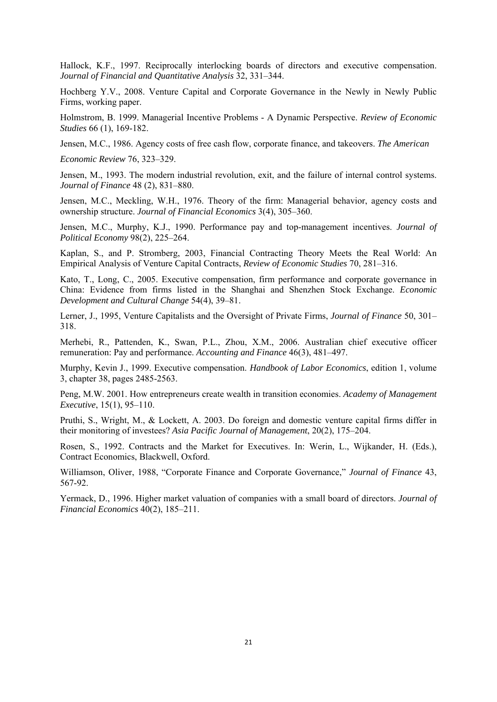Hallock, K.F., 1997. Reciprocally interlocking boards of directors and executive compensation. *Journal of Financial and Quantitative Analysis* 32, 331–344.

Hochberg Y.V., 2008. Venture Capital and Corporate Governance in the Newly in Newly Public Firms, working paper.

Holmstrom, B. 1999. Managerial Incentive Problems - A Dynamic Perspective. *Review of Economic Studies* 66 (1), 169-182.

Jensen, M.C., 1986. Agency costs of free cash flow, corporate finance, and takeovers. *The American* 

*Economic Review* 76, 323–329.

Jensen, M., 1993. The modern industrial revolution, exit, and the failure of internal control systems. *Journal of Finance* 48 (2), 831–880.

Jensen, M.C., Meckling, W.H., 1976. Theory of the firm: Managerial behavior, agency costs and ownership structure. *Journal of Financial Economics* 3(4), 305–360.

Jensen, M.C., Murphy, K.J., 1990. Performance pay and top-management incentives. *Journal of Political Economy* 98(2), 225–264.

Kaplan, S., and P. Stromberg, 2003, Financial Contracting Theory Meets the Real World: An Empirical Analysis of Venture Capital Contracts, *Review of Economic Studies* 70, 281–316.

Kato, T., Long, C., 2005. Executive compensation, firm performance and corporate governance in China: Evidence from firms listed in the Shanghai and Shenzhen Stock Exchange. *Economic Development and Cultural Change* 54(4), 39–81.

Lerner, J., 1995, Venture Capitalists and the Oversight of Private Firms, *Journal of Finance* 50, 301– 318.

Merhebi, R., Pattenden, K., Swan, P.L., Zhou, X.M., 2006. Australian chief executive officer remuneration: Pay and performance. *Accounting and Finance* 46(3), 481–497.

Murphy, Kevin J., 1999. Executive compensation. *Handbook of Labor Economics*, edition 1, volume 3, chapter 38, pages 2485-2563.

Peng, M.W. 2001. How entrepreneurs create wealth in transition economies. *Academy of Management Executive*, 15(1), 95–110.

Pruthi, S., Wright, M., & Lockett, A. 2003. Do foreign and domestic venture capital firms differ in their monitoring of investees? *Asia Pacific Journal of Management*, 20(2), 175–204.

Rosen, S., 1992. Contracts and the Market for Executives. In: Werin, L., Wijkander, H. (Eds.), Contract Economics, Blackwell, Oxford.

Williamson, Oliver, 1988, "Corporate Finance and Corporate Governance," *Journal of Finance* 43, 567-92.

Yermack, D., 1996. Higher market valuation of companies with a small board of directors. *Journal of Financial Economics* 40(2), 185–211.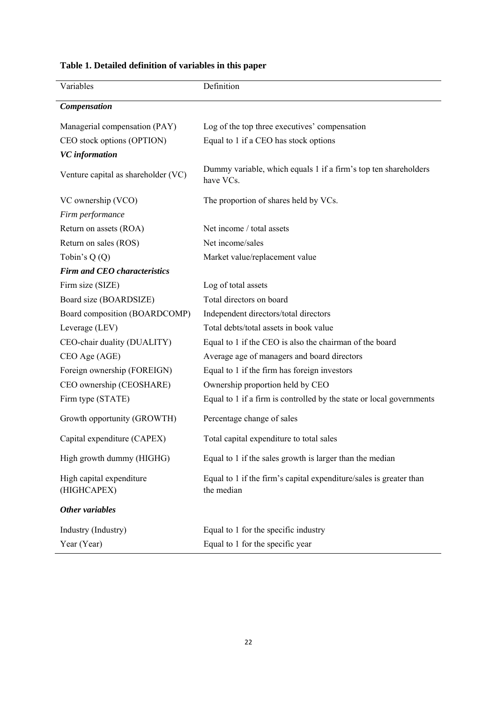| Variables                               | Definition                                                                       |
|-----------------------------------------|----------------------------------------------------------------------------------|
| <b>Compensation</b>                     |                                                                                  |
| Managerial compensation (PAY)           | Log of the top three executives' compensation                                    |
| CEO stock options (OPTION)              | Equal to 1 if a CEO has stock options                                            |
| <b>VC</b> information                   |                                                                                  |
| Venture capital as shareholder (VC)     | Dummy variable, which equals 1 if a firm's top ten shareholders<br>have VCs.     |
| VC ownership (VCO)                      | The proportion of shares held by VCs.                                            |
| Firm performance                        |                                                                                  |
| Return on assets (ROA)                  | Net income / total assets                                                        |
| Return on sales (ROS)                   | Net income/sales                                                                 |
| Tobin's $Q(Q)$                          | Market value/replacement value                                                   |
| <b>Firm and CEO characteristics</b>     |                                                                                  |
| Firm size (SIZE)                        | Log of total assets                                                              |
| Board size (BOARDSIZE)                  | Total directors on board                                                         |
| Board composition (BOARDCOMP)           | Independent directors/total directors                                            |
| Leverage (LEV)                          | Total debts/total assets in book value                                           |
| CEO-chair duality (DUALITY)             | Equal to 1 if the CEO is also the chairman of the board                          |
| CEO Age (AGE)                           | Average age of managers and board directors                                      |
| Foreign ownership (FOREIGN)             | Equal to 1 if the firm has foreign investors                                     |
| CEO ownership (CEOSHARE)                | Ownership proportion held by CEO                                                 |
| Firm type (STATE)                       | Equal to 1 if a firm is controlled by the state or local governments             |
| Growth opportunity (GROWTH)             | Percentage change of sales                                                       |
| Capital expenditure (CAPEX)             | Total capital expenditure to total sales                                         |
| High growth dummy (HIGHG)               | Equal to 1 if the sales growth is larger than the median                         |
| High capital expenditure<br>(HIGHCAPEX) | Equal to 1 if the firm's capital expenditure/sales is greater than<br>the median |
| Other variables                         |                                                                                  |
| Industry (Industry)                     | Equal to 1 for the specific industry                                             |
| Year (Year)                             | Equal to 1 for the specific year                                                 |

# **Table 1. Detailed definition of variables in this paper**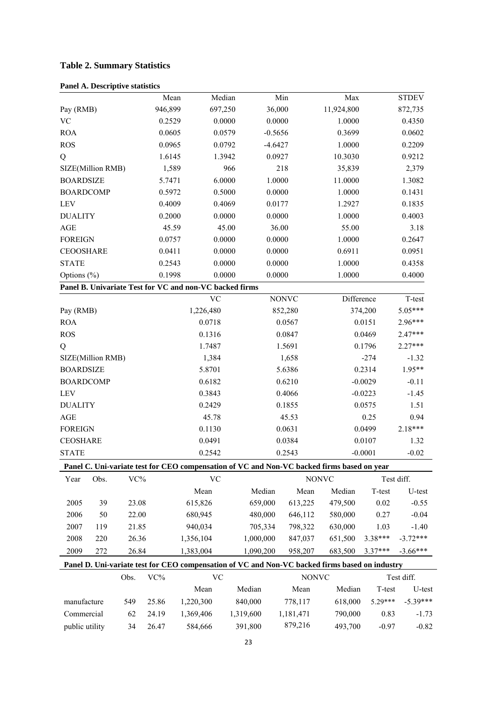# **Table 2. Summary Statistics**

| <b>Panel A. Descriptive statistics</b> |  |
|----------------------------------------|--|
|                                        |  |

|                            |      |       | Mean    | Median                                                                                         |           |           | Min          |              | Max        |           | <b>STDEV</b> |
|----------------------------|------|-------|---------|------------------------------------------------------------------------------------------------|-----------|-----------|--------------|--------------|------------|-----------|--------------|
| Pay (RMB)                  |      |       | 946,899 | 697,250                                                                                        |           | 36,000    |              |              | 11,924,800 |           | 872,735      |
| $\rm VC$                   |      |       | 0.2529  | 0.0000                                                                                         |           | 0.0000    |              |              | 1.0000     |           | 0.4350       |
| <b>ROA</b>                 |      |       | 0.0605  | 0.0579                                                                                         |           | $-0.5656$ |              |              | 0.3699     |           | 0.0602       |
| <b>ROS</b>                 |      |       | 0.0965  | 0.0792                                                                                         |           | $-4.6427$ |              |              | 1.0000     |           | 0.2209       |
| Q                          |      |       | 1.6145  | 1.3942                                                                                         |           | 0.0927    |              |              | 10.3030    |           | 0.9212       |
| SIZE(Million RMB)          |      |       | 1,589   |                                                                                                | 966       |           | 218          |              | 35,839     |           | 2,379        |
| <b>BOARDSIZE</b>           |      |       | 5.7471  | 6.0000                                                                                         |           |           | 1.0000       |              | 11.0000    |           | 1.3082       |
| <b>BOARDCOMP</b>           |      |       | 0.5972  | 0.5000                                                                                         |           | 0.0000    |              |              | 1.0000     |           | 0.1431       |
| LEV                        |      |       | 0.4009  | 0.4069                                                                                         |           | 0.0177    |              |              | 1.2927     |           | 0.1835       |
| <b>DUALITY</b>             |      |       | 0.2000  | 0.0000                                                                                         |           | 0.0000    |              |              | 1.0000     |           | 0.4003       |
| AGE                        |      |       | 45.59   |                                                                                                | 45.00     |           | 36.00        |              | 55.00      |           | 3.18         |
| <b>FOREIGN</b>             |      |       | 0.0757  | 0.0000                                                                                         |           | 0.0000    |              |              | 1.0000     |           | 0.2647       |
| <b>CEOOSHARE</b>           |      |       | 0.0411  | 0.0000                                                                                         |           | 0.0000    |              |              | 0.6911     |           | 0.0951       |
| <b>STATE</b>               |      |       | 0.2543  | 0.0000                                                                                         |           | 0.0000    |              |              | 1.0000     |           | 0.4358       |
| Options (%)                |      |       | 0.1998  | 0.0000                                                                                         |           | 0.0000    |              |              | 1.0000     |           | 0.4000       |
|                            |      |       |         | Panel B. Univariate Test for VC and non-VC backed firms                                        |           |           |              |              |            |           |              |
|                            |      |       |         | <b>VC</b>                                                                                      |           |           | <b>NONVC</b> |              | Difference |           | T-test       |
| Pay (RMB)                  |      |       |         | 1,226,480                                                                                      |           |           | 852,280      |              |            | 374,200   | $5.05***$    |
| <b>ROA</b>                 |      |       |         | 0.0718                                                                                         |           |           | 0.0567       |              |            | 0.0151    | 2.96***      |
| <b>ROS</b>                 |      |       |         | 0.1316                                                                                         |           | 0.0847    |              |              | 0.0469     |           | $2.47***$    |
| Q                          |      |       |         | 1.7487                                                                                         |           | 1.5691    |              |              | 0.1796     |           | 2.27***      |
| SIZE(Million RMB)          |      |       |         | 1,384                                                                                          |           | 1,658     |              |              | $-274$     |           | $-1.32$      |
| <b>BOARDSIZE</b><br>5.8701 |      |       | 5.6386  |                                                                                                |           | 0.2314    | 1.95**       |              |            |           |              |
| <b>BOARDCOMP</b>           |      |       |         | 0.6182                                                                                         |           |           | 0.6210       |              |            | $-0.0029$ | $-0.11$      |
| <b>LEV</b>                 |      |       |         | 0.3843                                                                                         |           |           | 0.4066       |              |            | $-0.0223$ | $-1.45$      |
| <b>DUALITY</b>             |      |       |         | 0.2429                                                                                         |           |           | 0.1855       |              |            | 0.0575    | 1.51         |
| AGE                        |      |       |         | 45.78                                                                                          |           |           | 45.53        |              |            | 0.25      | 0.94         |
| <b>FOREIGN</b>             |      |       |         | 0.1130                                                                                         |           |           | 0.0631       |              |            | 0.0499    | 2.18***      |
| <b>CEOSHARE</b>            |      |       |         | 0.0491                                                                                         |           |           | 0.0384       |              |            | 0.0107    | 1.32         |
| <b>STATE</b>               |      |       |         | 0.2542                                                                                         |           |           | 0.2543       |              | $-0.0001$  | $-0.02$   |              |
|                            |      |       |         | Panel C. Uni-variate test for CEO compensation of VC and Non-VC backed firms based on year     |           |           |              |              |            |           |              |
| Year                       | Obs. | VC%   |         | <b>VC</b>                                                                                      |           |           |              | <b>NONVC</b> |            |           | Test diff.   |
|                            |      |       |         | Mean                                                                                           |           | Median    | Mean         |              | Median     | T-test    | U-test       |
| 2005                       | 39   | 23.08 |         | 615,826                                                                                        |           | 659,000   | 613,225      |              | 479,500    | 0.02      | $-0.55$      |
| 2006                       | 50   | 22.00 |         | 680,945                                                                                        |           | 480,000   | 646,112      |              | 580,000    | 0.27      | $-0.04$      |
| 2007                       | 119  | 21.85 |         | 940,034                                                                                        |           | 705,334   | 798,322      |              | 630,000    | 1.03      | $-1.40$      |
| 2008                       | 220  | 26.36 |         | 1,356,104                                                                                      |           | 1,000,000 | 847,037      |              | 651,500    | 3.38***   | $-3.72***$   |
|                            |      |       |         |                                                                                                |           |           |              |              |            |           |              |
| 2009                       | 272  | 26.84 |         | 1,383,004                                                                                      |           | 1,090,200 | 958,207      |              | 683,500    | 3.37***   | $-3.66***$   |
|                            |      |       |         | Panel D. Uni-variate test for CEO compensation of VC and Non-VC backed firms based on industry |           |           |              |              |            |           |              |
|                            |      | Obs.  | $VC\%$  | $\rm VC$                                                                                       |           |           |              | <b>NONVC</b> |            |           | Test diff.   |
|                            |      |       |         | Mean                                                                                           |           | Median    | Mean         |              | Median     | T-test    | U-test       |
| manufacture                |      | 549   | 25.86   | 1,220,300                                                                                      | 840,000   |           | 778,117      |              | 618,000    | $5.29***$ | $-5.39***$   |
| Commercial                 |      | 62    | 24.19   | 1,369,406                                                                                      | 1,319,600 |           | 1,181,471    |              | 790,000    | 0.83      | $-1.73$      |
| public utility             |      | 34    | 26.47   | 584,666                                                                                        |           | 391,800   | 879,216      |              | 493,700    | $-0.97$   | $-0.82$      |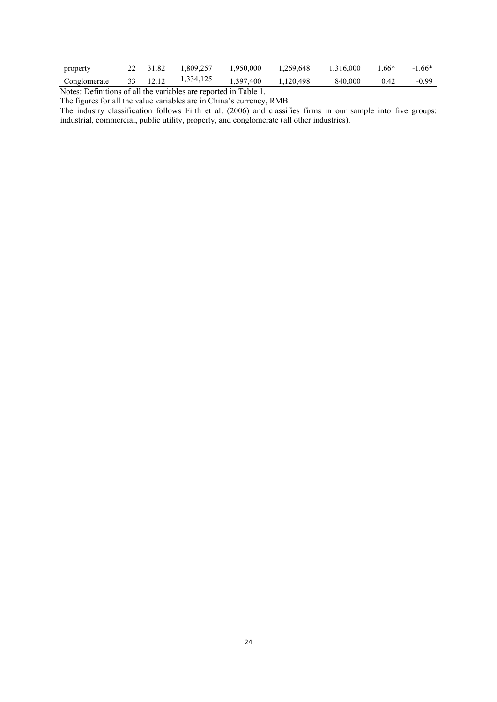| property     | 22 31.82 | 1,809,257 | 1,950,000 | 1,269,648 | 1,316,000 | $1.66*$ | $-1.66*$ |
|--------------|----------|-----------|-----------|-----------|-----------|---------|----------|
| Conglomerate | 33 12.12 | 1,334,125 | 1,397,400 | 1.120.498 | 840,000   | 0.42    | $-0.99$  |

Notes: Definitions of all the variables are reported in Table 1.

The figures for all the value variables are in China's currency, RMB.

The industry classification follows Firth et al. (2006) and classifies firms in our sample into five groups: industrial, commercial, public utility, property, and conglomerate (all other industries).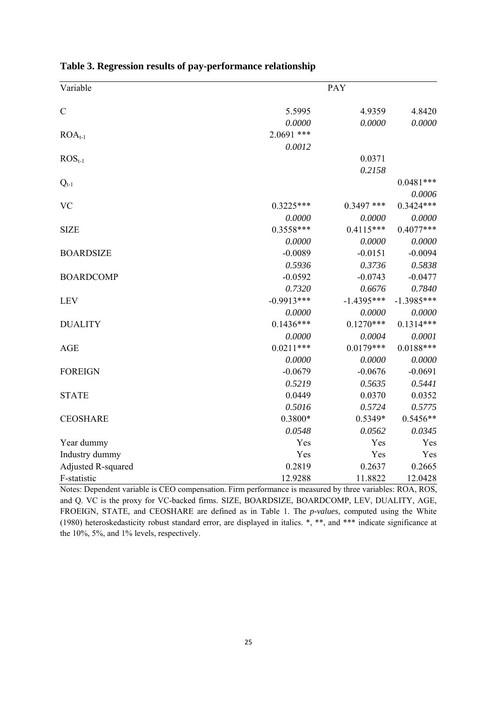| Variable           |              | <b>PAY</b>   |              |
|--------------------|--------------|--------------|--------------|
| $\mathcal{C}$      | 5.5995       | 4.9359       | 4.8420       |
|                    | 0.0000       | 0.0000       | 0.0000       |
| $ROA_{t-1}$        | $2.0691$ *** |              |              |
|                    | 0.0012       |              |              |
| $ROSt-1$           |              | 0.0371       |              |
|                    |              | 0.2158       |              |
| $Q_{t-1}$          |              |              | $0.0481***$  |
|                    |              |              | 0.0006       |
| <b>VC</b>          | $0.3225***$  | $0.3497$ *** | $0.3424***$  |
|                    | 0.0000       | 0.0000       | 0.0000       |
| <b>SIZE</b>        | $0.3558***$  | $0.4115***$  | $0.4077***$  |
|                    | 0.0000       | 0.0000       | 0.0000       |
| <b>BOARDSIZE</b>   | $-0.0089$    | $-0.0151$    | $-0.0094$    |
|                    | 0.5936       | 0.3736       | 0.5838       |
| <b>BOARDCOMP</b>   | $-0.0592$    | $-0.0743$    | $-0.0477$    |
|                    | 0.7320       | 0.6676       | 0.7840       |
| <b>LEV</b>         | $-0.9913***$ | $-1.4395***$ | $-1.3985***$ |
|                    | 0.0000       | 0.0000       | 0.0000       |
| <b>DUALITY</b>     | $0.1436***$  | $0.1270***$  | $0.1314***$  |
|                    | 0.0000       | 0.0004       | 0.0001       |
| <b>AGE</b>         | $0.0211***$  | $0.0179***$  | $0.0188***$  |
|                    | 0.0000       | 0.0000       | 0.0000       |
| <b>FOREIGN</b>     | $-0.0679$    | $-0.0676$    | $-0.0691$    |
|                    | 0.5219       | 0.5635       | 0.5441       |
| <b>STATE</b>       | 0.0449       | 0.0370       | 0.0352       |
|                    | 0.5016       | 0.5724       | 0.5775       |
| <b>CEOSHARE</b>    | 0.3800*      | 0.5349*      | $0.5456**$   |
|                    | 0.0548       | 0.0562       | 0.0345       |
| Year dummy         | Yes          | Yes          | Yes          |
| Industry dummy     | Yes          | Yes          | Yes          |
| Adjusted R-squared | 0.2819       | 0.2637       | 0.2665       |
| F-statistic        | 12.9288      | 11.8822      | 12.0428      |

|  | Table 3. Regression results of pay-performance relationship |  |  |  |  |
|--|-------------------------------------------------------------|--|--|--|--|
|  |                                                             |  |  |  |  |

Notes: Dependent variable is CEO compensation. Firm performance is measured by three variables: ROA, ROS, and Q. VC is the proxy for VC-backed firms. SIZE, BOARDSIZE, BOARDCOMP, LEV, DUALITY, AGE, FROEIGN, STATE, and CEOSHARE are defined as in Table 1. The *p-values*, computed using the White (1980) heteroskedasticity robust standard error, are displayed in italics. \*, \*\*, and \*\*\* indicate significance at the 10%, 5%, and 1% levels, respectively.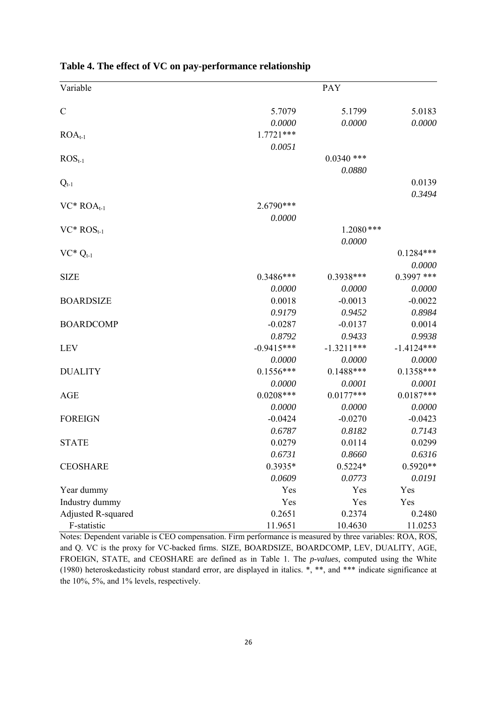| Variable           |              | <b>PAY</b>   |              |
|--------------------|--------------|--------------|--------------|
| $\mathcal{C}$      | 5.7079       | 5.1799       | 5.0183       |
|                    | 0.0000       | 0.0000       | 0.0000       |
| $ROA_{t-1}$        | $1.7721***$  |              |              |
|                    | 0.0051       |              |              |
| $ROSt-1$           |              | $0.0340$ *** |              |
|                    |              | 0.0880       |              |
| $Q_{t-1}$          |              |              | 0.0139       |
|                    |              |              | 0.3494       |
| $VC*ROA_{t-1}$     | 2.6790***    |              |              |
|                    | 0.0000       |              |              |
| $VC*ROS_{t-1}$     |              | $1.2080$ *** |              |
|                    |              | 0.0000       |              |
| $VC^*Q_{t-1}$      |              |              | $0.1284***$  |
|                    |              |              | 0.0000       |
| <b>SIZE</b>        | $0.3486***$  | 0.3938***    | $0.3997$ *** |
|                    | 0.0000       | 0.0000       | 0.0000       |
| <b>BOARDSIZE</b>   | 0.0018       | $-0.0013$    | $-0.0022$    |
|                    | 0.9179       | 0.9452       | 0.8984       |
| <b>BOARDCOMP</b>   | $-0.0287$    | $-0.0137$    | 0.0014       |
|                    | 0.8792       | 0.9433       | 0.9938       |
| <b>LEV</b>         | $-0.9415***$ | $-1.3211***$ | $-1.4124***$ |
|                    | 0.0000       | 0.0000       | 0.0000       |
| <b>DUALITY</b>     | $0.1556***$  | $0.1488***$  | $0.1358***$  |
|                    | 0.0000       | 0.0001       | 0.0001       |
| <b>AGE</b>         | $0.0208***$  | $0.0177***$  | $0.0187***$  |
|                    | 0.0000       | 0.0000       | 0.0000       |
| <b>FOREIGN</b>     | $-0.0424$    | $-0.0270$    | $-0.0423$    |
|                    | 0.6787       | 0.8182       | 0.7143       |
| <b>STATE</b>       | 0.0279       | 0.0114       | 0.0299       |
|                    | 0.6731       | 0.8660       | 0.6316       |
| <b>CEOSHARE</b>    | 0.3935*      | $0.5224*$    | $0.5920**$   |
|                    | 0.0609       | 0.0773       | 0.0191       |
| Year dummy         | Yes          | Yes          | Yes          |
| Industry dummy     | Yes          | Yes          | Yes          |
| Adjusted R-squared | 0.2651       | 0.2374       | 0.2480       |
| F-statistic        | 11.9651      | 10.4630      | 11.0253      |

**Table 4. The effect of VC on pay-performance relationship**

Notes: Dependent variable is CEO compensation. Firm performance is measured by three variables: ROA, ROS, and Q. VC is the proxy for VC-backed firms. SIZE, BOARDSIZE, BOARDCOMP, LEV, DUALITY, AGE, FROEIGN, STATE, and CEOSHARE are defined as in Table 1. The *p-values*, computed using the White (1980) heteroskedasticity robust standard error, are displayed in italics. \*, \*\*, and \*\*\* indicate significance at the 10%, 5%, and 1% levels, respectively.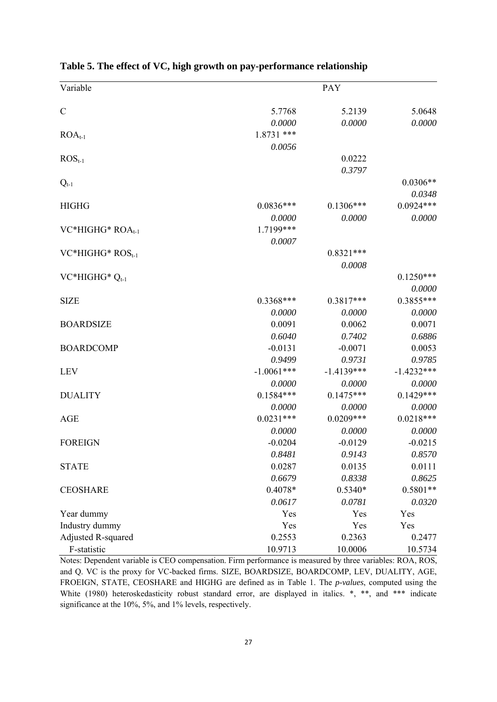| Variable                     |              | <b>PAY</b>   |              |
|------------------------------|--------------|--------------|--------------|
|                              |              |              |              |
| $\mathcal{C}$                | 5.7768       | 5.2139       | 5.0648       |
|                              | 0.0000       | 0.0000       | 0.0000       |
| $ROA_{t-1}$                  | $1.8731$ *** |              |              |
|                              | 0.0056       |              |              |
| $ROSt-1$                     |              | 0.0222       |              |
|                              |              | 0.3797       |              |
| $Q_{t-1}$                    |              |              | $0.0306**$   |
|                              |              |              | 0.0348       |
| <b>HIGHG</b>                 | $0.0836***$  | $0.1306***$  | $0.0924***$  |
|                              | 0.0000       | 0.0000       | 0.0000       |
| VC*HIGHG* ROA <sub>t-1</sub> | 1.7199***    |              |              |
|                              | 0.0007       |              |              |
| $VC*HIGHG*ROSt-1$            |              | $0.8321***$  |              |
|                              |              | 0.0008       |              |
| VC*HIGHG* $Q_{t-1}$          |              |              | $0.1250***$  |
|                              |              |              | 0.0000       |
| <b>SIZE</b>                  | $0.3368***$  | $0.3817***$  | $0.3855***$  |
|                              | 0.0000       | 0.0000       | 0.0000       |
| <b>BOARDSIZE</b>             | 0.0091       | 0.0062       | 0.0071       |
|                              | 0.6040       | 0.7402       | 0.6886       |
| <b>BOARDCOMP</b>             | $-0.0131$    | $-0.0071$    | 0.0053       |
|                              | 0.9499       | 0.9731       | 0.9785       |
| <b>LEV</b>                   | $-1.0061***$ | $-1.4139***$ | $-1.4232***$ |
|                              | 0.0000       | 0.0000       | 0.0000       |
| <b>DUALITY</b>               | $0.1584***$  | $0.1475***$  | $0.1429***$  |
|                              | 0.0000       | 0.0000       | 0.0000       |
| <b>AGE</b>                   | $0.0231***$  | $0.0209***$  | $0.0218***$  |
|                              | 0.0000       | 0.0000       | 0.0000       |
| <b>FOREIGN</b>               | $-0.0204$    | $-0.0129$    | $-0.0215$    |
|                              | 0.8481       | 0.9143       | 0.8570       |
| <b>STATE</b>                 | 0.0287       | 0.0135       | 0.0111       |
|                              | 0.6679       | 0.8338       | 0.8625       |
| <b>CEOSHARE</b>              | 0.4078*      | $0.5340*$    | $0.5801**$   |
|                              | 0.0617       | 0.0781       | 0.0320       |
| Year dummy                   | Yes          | Yes          | Yes          |
| Industry dummy               | Yes          | Yes          | Yes          |
| Adjusted R-squared           | 0.2553       | 0.2363       | 0.2477       |
| F-statistic                  | 10.9713      | 10.0006      | 10.5734      |

**Table 5. The effect of VC, high growth on pay-performance relationship** 

Notes: Dependent variable is CEO compensation. Firm performance is measured by three variables: ROA, ROS, and Q. VC is the proxy for VC-backed firms. SIZE, BOARDSIZE, BOARDCOMP, LEV, DUALITY, AGE, FROEIGN, STATE, CEOSHARE and HIGHG are defined as in Table 1. The *p-values*, computed using the White (1980) heteroskedasticity robust standard error, are displayed in italics. \*, \*\*, and \*\*\* indicate significance at the 10%, 5%, and 1% levels, respectively.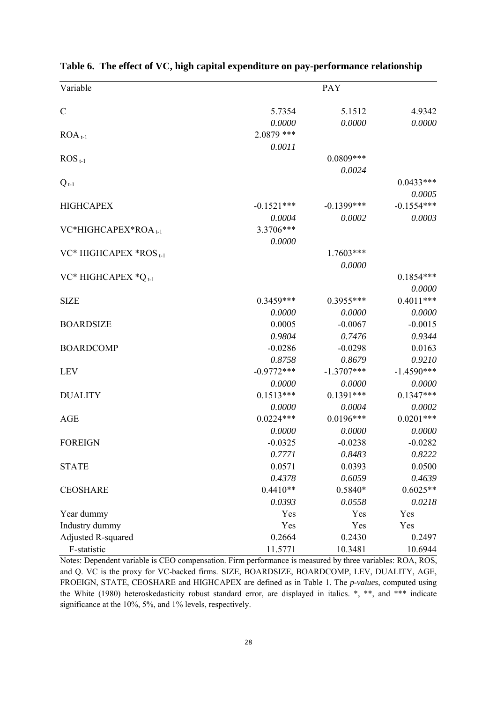| Variable                        |              | PAY           |              |
|---------------------------------|--------------|---------------|--------------|
|                                 |              |               |              |
| $\mathcal{C}$                   | 5.7354       | 5.1512        | 4.9342       |
|                                 | 0.0000       | 0.0000        | 0.0000       |
| $ROA_{t-1}$                     | 2.0879 ***   |               |              |
|                                 | 0.0011       |               |              |
| $\mathrm{ROS}_{t-1}$            |              | 0.0809***     |              |
|                                 |              | 0.0024        |              |
| $Q_{t-1}$                       |              |               | $0.0433***$  |
|                                 |              |               | 0.0005       |
| <b>HIGHCAPEX</b>                | $-0.1521***$ | $-0.1399$ *** | $-0.1554***$ |
|                                 | 0.0004       | 0.0002        | 0.0003       |
| VC*HIGHCAPEX*ROA <sub>t-1</sub> | 3.3706***    |               |              |
|                                 | 0.0000       |               |              |
| VC* HIGHCAPEX *ROS 1-1          |              | 1.7603***     |              |
|                                 |              | 0.0000        |              |
| VC* HIGHCAPEX $^*Q_{t-1}$       |              |               | $0.1854***$  |
|                                 |              |               | 0.0000       |
| <b>SIZE</b>                     | $0.3459***$  | $0.3955***$   | $0.4011***$  |
|                                 | 0.0000       | 0.0000        | 0.0000       |
| <b>BOARDSIZE</b>                | 0.0005       | $-0.0067$     | $-0.0015$    |
|                                 | 0.9804       | 0.7476        | 0.9344       |
| <b>BOARDCOMP</b>                | $-0.0286$    | $-0.0298$     | 0.0163       |
|                                 | 0.8758       | 0.8679        | 0.9210       |
| <b>LEV</b>                      | $-0.9772***$ | $-1.3707***$  | $-1.4590***$ |
|                                 | 0.0000       | 0.0000        | 0.0000       |
| <b>DUALITY</b>                  | $0.1513***$  | $0.1391***$   | $0.1347***$  |
|                                 | 0.0000       | 0.0004        | 0.0002       |
| <b>AGE</b>                      | $0.0224***$  | $0.0196***$   | $0.0201***$  |
|                                 | 0.0000       | 0.0000        | 0.0000       |
| <b>FOREIGN</b>                  | $-0.0325$    | $-0.0238$     | $-0.0282$    |
|                                 | 0.7771       | 0.8483        | 0.8222       |
| <b>STATE</b>                    | 0.0571       | 0.0393        | 0.0500       |
|                                 | 0.4378       | 0.6059        | 0.4639       |
| <b>CEOSHARE</b>                 | $0.4410**$   | $0.5840*$     | $0.6025**$   |
|                                 | 0.0393       | 0.0558        | 0.0218       |
| Year dummy                      | Yes          | Yes           | Yes          |
| Industry dummy                  | Yes          | Yes           | Yes          |
| Adjusted R-squared              | 0.2664       | 0.2430        | 0.2497       |
| F-statistic                     | 11.5771      | 10.3481       | 10.6944      |

**Table 6. The effect of VC, high capital expenditure on pay-performance relationship** 

Notes: Dependent variable is CEO compensation. Firm performance is measured by three variables: ROA, ROS, and Q. VC is the proxy for VC-backed firms. SIZE, BOARDSIZE, BOARDCOMP, LEV, DUALITY, AGE, FROEIGN, STATE, CEOSHARE and HIGHCAPEX are defined as in Table 1. The *p-values*, computed using the White (1980) heteroskedasticity robust standard error, are displayed in italics. \*, \*\*, and \*\*\* indicate significance at the 10%, 5%, and 1% levels, respectively.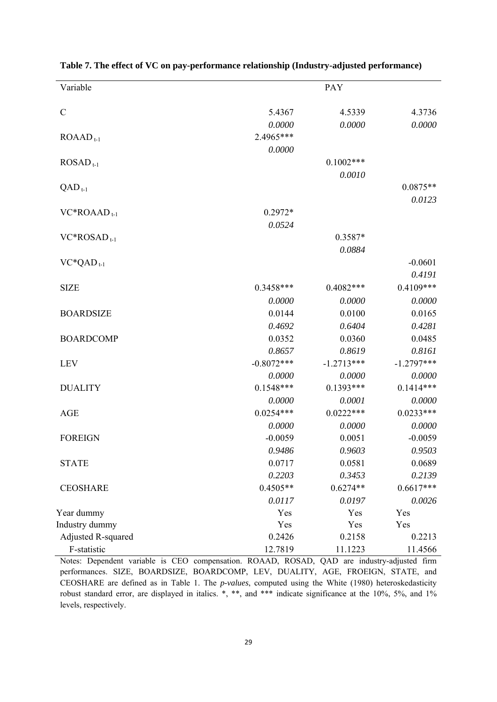| Variable             |              | PAY          |              |
|----------------------|--------------|--------------|--------------|
| $\mathcal{C}$        | 5.4367       | 4.5339       | 4.3736       |
|                      | 0.0000       | 0.0000       | 0.0000       |
| $ROAADt-1$           | 2.4965***    |              |              |
|                      | 0.0000       |              |              |
| $ROSAD_{t-1}$        |              | $0.1002$ *** |              |
|                      |              | 0.0010       |              |
| $QAD$ <sub>t-1</sub> |              |              | $0.0875**$   |
|                      |              |              | 0.0123       |
| $VC*ROAAD_{t-1}$     | $0.2972*$    |              |              |
|                      | 0.0524       |              |              |
| $VC*ROSAD_{t-1}$     |              | 0.3587*      |              |
|                      |              | 0.0884       |              |
| $VC^*QAD_{t-1}$      |              |              | $-0.0601$    |
|                      |              |              | 0.4191       |
| <b>SIZE</b>          | 0.3458***    | $0.4082***$  | $0.4109***$  |
|                      | 0.0000       | 0.0000       | 0.0000       |
| <b>BOARDSIZE</b>     | 0.0144       | 0.0100       | 0.0165       |
|                      | 0.4692       | 0.6404       | 0.4281       |
| <b>BOARDCOMP</b>     | 0.0352       | 0.0360       | 0.0485       |
|                      | 0.8657       | 0.8619       | 0.8161       |
| <b>LEV</b>           | $-0.8072***$ | $-1.2713***$ | $-1.2797***$ |
|                      | 0.0000       | 0.0000       | 0.0000       |
| <b>DUALITY</b>       | $0.1548***$  | $0.1393***$  | $0.1414***$  |
|                      | 0.0000       | 0.0001       | 0.0000       |
| <b>AGE</b>           | $0.0254***$  | $0.0222***$  | $0.0233***$  |
|                      | 0.0000       | 0.0000       | 0.0000       |
| <b>FOREIGN</b>       | $-0.0059$    | 0.0051       | $-0.0059$    |
|                      | 0.9486       | 0.9603       | 0.9503       |
| <b>STATE</b>         | 0.0717       | 0.0581       | 0.0689       |
|                      | 0.2203       | 0.3453       | 0.2139       |
| <b>CEOSHARE</b>      | $0.4505**$   | $0.6274**$   | $0.6617***$  |
|                      | 0.0117       | 0.0197       | 0.0026       |
| Year dummy           | Yes          | Yes          | Yes          |
| Industry dummy       | Yes          | Yes          | Yes          |
| Adjusted R-squared   | 0.2426       | 0.2158       | 0.2213       |
| F-statistic          | 12.7819      | 11.1223      | 11.4566      |

**Table 7. The effect of VC on pay-performance relationship (Industry-adjusted performance)** 

Notes: Dependent variable is CEO compensation. ROAAD, ROSAD, QAD are industry-adjusted firm performances. SIZE, BOARDSIZE, BOARDCOMP, LEV, DUALITY, AGE, FROEIGN, STATE, and CEOSHARE are defined as in Table 1. The *p-values*, computed using the White (1980) heteroskedasticity robust standard error, are displayed in italics. \*, \*\*, and \*\*\* indicate significance at the 10%, 5%, and 1% levels, respectively.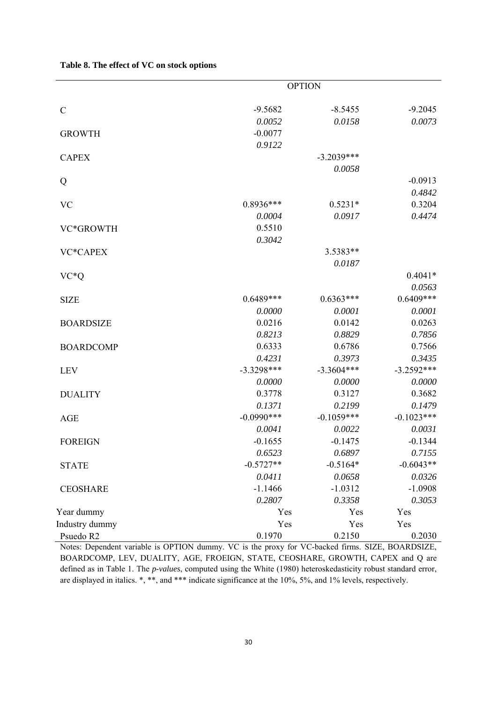|                  | <b>OPTION</b> |              |              |
|------------------|---------------|--------------|--------------|
| $\mathcal{C}$    | $-9.5682$     | $-8.5455$    | $-9.2045$    |
|                  | 0.0052        | 0.0158       | 0.0073       |
| <b>GROWTH</b>    | $-0.0077$     |              |              |
|                  | 0.9122        |              |              |
| <b>CAPEX</b>     |               | $-3.2039***$ |              |
|                  |               | 0.0058       |              |
| Q                |               |              | $-0.0913$    |
|                  |               |              | 0.4842       |
| <b>VC</b>        | 0.8936***     | $0.5231*$    | 0.3204       |
|                  | 0.0004        | 0.0917       | 0.4474       |
| VC*GROWTH        | 0.5510        |              |              |
|                  | 0.3042        |              |              |
| VC*CAPEX         |               | 3.5383**     |              |
|                  |               | 0.0187       |              |
| $VC*Q$           |               |              | $0.4041*$    |
|                  |               |              | 0.0563       |
| <b>SIZE</b>      | $0.6489***$   | $0.6363***$  | $0.6409***$  |
|                  | 0.0000        | 0.0001       | 0.0001       |
| <b>BOARDSIZE</b> | 0.0216        | 0.0142       | 0.0263       |
|                  | 0.8213        | 0.8829       | 0.7856       |
| <b>BOARDCOMP</b> | 0.6333        | 0.6786       | 0.7566       |
|                  | 0.4231        | 0.3973       | 0.3435       |
| <b>LEV</b>       | $-3.3298***$  | $-3.3604***$ | $-3.2592***$ |
|                  | 0.0000        | 0.0000       | 0.0000       |
| <b>DUALITY</b>   | 0.3778        | 0.3127       | 0.3682       |
|                  | 0.1371        | 0.2199       | 0.1479       |
| <b>AGE</b>       | $-0.0990***$  | $-0.1059***$ | $-0.1023***$ |
|                  | 0.0041        | 0.0022       | 0.0031       |
| <b>FOREIGN</b>   | $-0.1655$     | $-0.1475$    | $-0.1344$    |
|                  | 0.6523        | 0.6897       | 0.7155       |
| <b>STATE</b>     | $-0.5727**$   | $-0.5164*$   | $-0.6043**$  |
|                  | 0.0411        | 0.0658       | 0.0326       |
| <b>CEOSHARE</b>  | $-1.1466$     | $-1.0312$    | $-1.0908$    |
|                  | 0.2807        | 0.3358       | 0.3053       |
| Year dummy       | Yes           | Yes          | Yes          |
| Industry dummy   | Yes           | Yes          | Yes          |
| Psuedo R2        | 0.1970        | 0.2150       | 0.2030       |

Notes: Dependent variable is OPTION dummy. VC is the proxy for VC-backed firms. SIZE, BOARDSIZE, BOARDCOMP, LEV, DUALITY, AGE, FROEIGN, STATE, CEOSHARE, GROWTH, CAPEX and Q are defined as in Table 1. The *p-values*, computed using the White (1980) heteroskedasticity robust standard error, are displayed in italics. \*, \*\*, and \*\*\* indicate significance at the 10%, 5%, and 1% levels, respectively.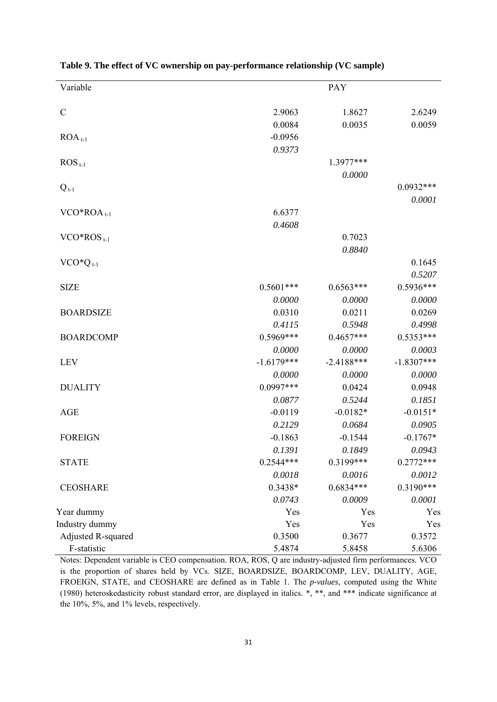| Variable                 | PAY          |              |              |  |
|--------------------------|--------------|--------------|--------------|--|
| $\mathcal{C}$            | 2.9063       | 1.8627       | 2.6249       |  |
|                          | 0.0084       | 0.0035       | 0.0059       |  |
| $ROA_{t-1}$              | $-0.0956$    |              |              |  |
|                          | 0.9373       |              |              |  |
| $\mathrm{ROS}_{t-1}$     |              | 1.3977***    |              |  |
|                          |              | 0.0000       |              |  |
| $Q_{t-1}$                |              |              | $0.0932***$  |  |
|                          |              |              | 0.0001       |  |
| $VCO*ROAt-1$             | 6.6377       |              |              |  |
|                          | 0.4608       |              |              |  |
| $VCO*ROS$ <sub>t-1</sub> |              | 0.7023       |              |  |
|                          |              | 0.8840       |              |  |
| $VCO*Qt-1$               |              |              | 0.1645       |  |
|                          |              |              | 0.5207       |  |
| <b>SIZE</b>              | $0.5601***$  | $0.6563***$  | $0.5936***$  |  |
|                          | 0.0000       | 0.0000       | 0.0000       |  |
| <b>BOARDSIZE</b>         | 0.0310       | 0.0211       | 0.0269       |  |
|                          | 0.4115       | 0.5948       | 0.4998       |  |
| <b>BOARDCOMP</b>         | $0.5969***$  | $0.4657***$  | $0.5353***$  |  |
|                          | 0.0000       | 0.0000       | 0.0003       |  |
| <b>LEV</b>               | $-1.6179***$ | $-2.4188***$ | $-1.8307***$ |  |
|                          | 0.0000       | 0.0000       | 0.0000       |  |
| <b>DUALITY</b>           | $0.0997***$  | 0.0424       | 0.0948       |  |
|                          | 0.0877       | 0.5244       | 0.1851       |  |
| <b>AGE</b>               | $-0.0119$    | $-0.0182*$   | $-0.0151*$   |  |
|                          | 0.2129       | 0.0684       | 0.0905       |  |
| <b>FOREIGN</b>           | $-0.1863$    | $-0.1544$    | $-0.1767*$   |  |
|                          | 0.1391       | 0.1849       | 0.0943       |  |
| <b>STATE</b>             | 0.2544***    | 0.3199***    | $0.2772***$  |  |
|                          | 0.0018       | 0.0016       | 0.0012       |  |
| <b>CEOSHARE</b>          | $0.3438*$    | $0.6834***$  | $0.3190***$  |  |
|                          | 0.0743       | 0.0009       | 0.0001       |  |
| Year dummy               | Yes          | Yes          | Yes          |  |
| Industry dummy           | Yes          | Yes          | Yes          |  |
| Adjusted R-squared       | 0.3500       | 0.3677       | 0.3572       |  |
| F-statistic              | 5.4874       | 5.8458       | 5.6306       |  |

**Table 9. The effect of VC ownership on pay-performance relationship (VC sample)** 

Notes: Dependent variable is CEO compensation. ROA, ROS, Q are industry-adjusted firm performances. VCO is the proportion of shares held by VCs. SIZE, BOARDSIZE, BOARDCOMP, LEV, DUALITY, AGE, FROEIGN, STATE, and CEOSHARE are defined as in Table 1. The *p-values*, computed using the White (1980) heteroskedasticity robust standard error, are displayed in italics. \*, \*\*, and \*\*\* indicate significance at the 10%, 5%, and 1% levels, respectively.